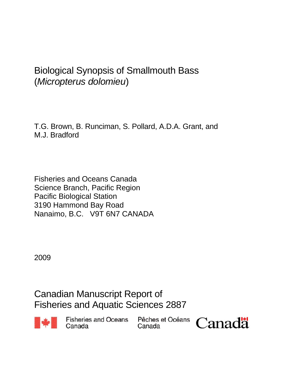# Biological Synopsis of Smallmouth Bass (*Micropterus dolomieu*)

T.G. Brown, B. Runciman, S. Pollard, A.D.A. Grant, and M.J. Bradford

Fisheries and Oceans Canada Science Branch, Pacific Region Pacific Biological Station 3190 Hammond Bay Road Nanaimo, B.C. V9T 6N7 CANADA

2009

Canadian Manuscript Report of Fisheries and Aquatic Sciences 2887



**Fisheries and Oceans** Pêches e<br>Canada Canada Canada

Pêches et Océans

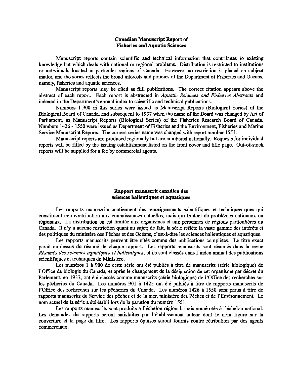#### Canadian Manuscript Report of Fisheries and Aquatic Sciences

Manuscript reports contain scientific and technical information that contributes to existing knowledge but which deals with national or regional problems. Distribution is restricted to institutions or individuals located in particular regions of Canada. However, no restriction is placed on subject matter, and the series reflects the broad interests and policies of the Department of Fisheries and Oceans, namely, fisheries and aquatic sciences.

Manuscript reports may be cited as full publications. The correct citation appears above the abstract of each report. Each report is abstracted in *Aquatic Sciences and Fisheries Abstracts* and indexed in the Department's annual index to scientific and technical publications.

Numbers 1-900 in this series were issued as Manuscript Reports (Biological Series) of the Biological Board of Canada, and subsequent to 1937 when the name of the Board was changed by Act of Parliament, as Manuscript Reports (Biological Series) of the Fisheries Research Board of Canada. Numbers 1426 - 1550 were issued as Department of Fisheries and the Environment, Fisheries and Marine Service Manuscript Reports. The current series name was changed with report number 1551.

Manuscript reports are produced regionally but are numbered nationally. Requests for individual reports will be filled by the issuing establishment listed on the front cover and title page. Out-of-stock reports will be supplied for a fee by commercial agents.

#### Rapport manuscrit canadien des sciences halieutiques et aquatiques

Les rapports manuscrits contiennent des renseignements scientifiques et techniques ques qui constituent une contribution aux connaissances actuelles, mais qui traitent de problemes nationaux ou régionaux. La distribution en est limitée aux organismes et aux personnes de régions particulières du Canada. Il n'y a aucune restriction quant au sujet; de fait, la série reflète la vaste gamme des intérêts et des politiques du ministère des Pêches et des Océans, c'est-à-dire les sciences halieutiques et aquatiques.

Les rapports manuscrits peuvent être cités comme des publications complètes. Le titre exact paraît au-dessus du résumé de chaque rapport. Les rapports manuscrits sont résumés dans la revue *Resumes des sciences aquatiques et halieutiques,* et ils sont classes dans I'index annual des publications scientifiques et techniques du Ministère.

Les numéros 1 à 900 de cette série ont été publiés à titre de manuscrits (série biologique) de I'Office de biologie du Canada, et apres Ie changement de la designation de cet organisme par decret du Parlement, en 1937, ont été classés comme manuscrits (série biologique) de l'Office des recherches sur les pêcheries du Canada. Les numéros 901 à 1425 ont été publiés à titre de rapports manuscrits de l'Office des recherches sur les pecheries du Canada. Les numeros 1426 a 1550 sont parus a titre de rapports manuscrits du Service des pêches et de la mer, ministère des Pêches et de l'Environnement. Le nom actuel de la serie a 6t6 etabli lors de la parution du numero 1551.

Les rapports manuscrits sont produits a l'échelon régional, mais numérotés à l'échelon national. Les demandes de rapports seront satisfaites par l'etablissement auteur dont Ie nom figure sur la couverture et la page du titre. Les rapports epuises seront foumis contre retribution par des agents commerciaux.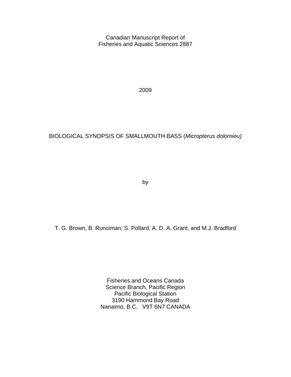Canadian Manuscript Report of Fisheries and Aquatic Sciences 2887

2009

### BIOLOGICAL SYNOPSIS OF SMALLMOUTH BASS (*Micropterus dolomieu)*

by

T. G. Brown, B. Runciman, S. Pollard, A. D. A. Grant, and M.J. Bradford

Fisheries and Oceans Canada Science Branch, Pacific Region Pacific Biological Station 3190 Hammond Bay Road Nanaimo, B.C. V9T 6N7 CANADA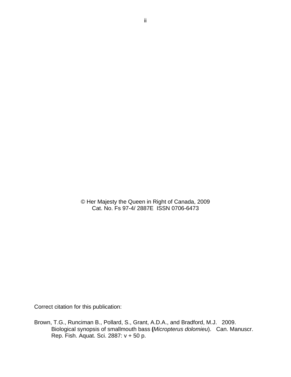© Her Majesty the Queen in Right of Canada, 2009 Cat. No. Fs 97-4/ 2887E ISSN 0706-6473

Correct citation for this publication:

Brown, T.G., Runciman B., Pollard, S., Grant, A.D.A., and Bradford, M.J. 2009. Biological synopsis of smallmouth bass **(***Micropterus dolomieu*). Can. Manuscr. Rep. Fish. Aquat. Sci. 2887: v + 50 p.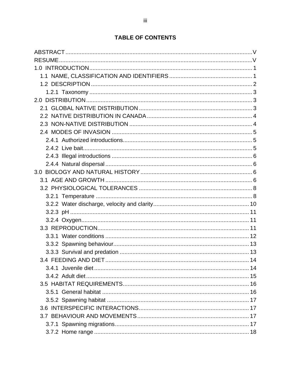# **TABLE OF CONTENTS**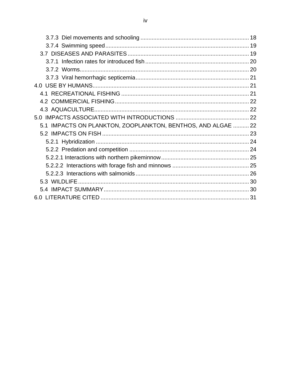| 5.1 IMPACTS ON PLANKTON, ZOOPLANKTON, BENTHOS, AND ALGAE  22 |  |
|--------------------------------------------------------------|--|
|                                                              |  |
|                                                              |  |
|                                                              |  |
|                                                              |  |
|                                                              |  |
|                                                              |  |
|                                                              |  |
|                                                              |  |
|                                                              |  |
|                                                              |  |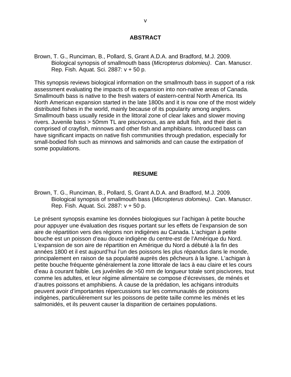#### **ABSTRACT**

<span id="page-6-0"></span>Brown, T. G., Runciman, B., Pollard, S, Grant A.D.A. and Bradford, M.J. 2009. Biological synopsis of smallmouth bass (*Micropterus dolomieu)*. Can. Manuscr. Rep. Fish. Aquat. Sci. 2887: v + 50 p.

This synopsis reviews biological information on the smallmouth bass in support of a risk assessment evaluating the impacts of its expansion into non-native areas of Canada. Smallmouth bass is native to the fresh waters of eastern-central North America. Its North American expansion started in the late 1800s and it is now one of the most widely distributed fishes in the world, mainly because of its popularity among anglers. Smallmouth bass usually reside in the littoral zone of clear lakes and slower moving rivers. Juvenile bass > 50mm TL are piscivorous, as are adult fish, and their diet is comprised of crayfish, minnows and other fish and amphibians. Introduced bass can have significant impacts on native fish communities through predation, especially for small-bodied fish such as minnows and salmonids and can cause the extirpation of some populations.

#### **RESUME**

Brown, T. G., Runciman, B., Pollard, S, Grant A.D.A. and Bradford, M.J. 2009. Biological synopsis of smallmouth bass (*Micropterus dolomieu)*. Can. Manuscr. Rep. Fish. Aquat. Sci. 2887: v + 50 p.

Le présent synopsis examine les données biologiques sur l'achigan à petite bouche pour appuyer une évaluation des risques portant sur les effets de l'expansion de son aire de répartition vers des régions non indigènes au Canada. L'achigan à petite bouche est un poisson d'eau douce indigène du centre-est de l'Amérique du Nord. L'expansion de son aire de répartition en Amérique du Nord a débuté à la fin des années 1800 et il est aujourd'hui l'un des poissons les plus répandus dans le monde, principalement en raison de sa popularité auprès des pêcheurs à la ligne. L'achigan à petite bouche fréquente généralement la zone littorale de lacs à eau claire et les cours d'eau à courant faible. Les juvéniles de >50 mm de longueur totale sont piscivores, tout comme les adultes, et leur régime alimentaire se compose d'écrevisses, de ménés et d'autres poissons et amphibiens. À cause de la prédation, les achigans introduits peuvent avoir d'importantes répercussions sur les communautés de poissons indigènes, particulièrement sur les poissons de petite taille comme les ménés et les salmonidés, et ils peuvent causer la disparition de certaines populations.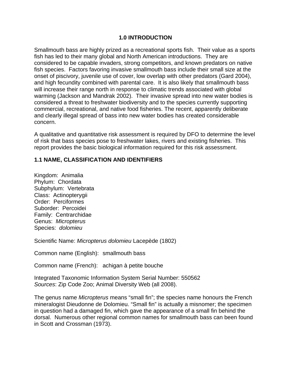#### **1.0 INTRODUCTION**

<span id="page-8-0"></span>Smallmouth bass are highly prized as a recreational sports fish. Their value as a sports fish has led to their many global and North American introductions. They are considered to be capable invaders, strong competitors, and known predators on native fish species. Factors favoring invasive smallmouth bass include their small size at the onset of piscivory, juvenile use of cover, low overlap with other predators (Gard 2004), and high fecundity combined with parental care. It is also likely that smallmouth bass will increase their range north in response to climatic trends associated with global warming (Jackson and Mandrak 2002). Their invasive spread into new water bodies is considered a threat to freshwater biodiversity and to the species currently supporting commercial, recreational, and native food fisheries. The recent, apparently deliberate and clearly illegal spread of bass into new water bodies has created considerable concern.

A qualitative and quantitative risk assessment is required by DFO to determine the level of risk that bass species pose to freshwater lakes, rivers and existing fisheries. This report provides the basic biological information required for this risk assessment.

#### **1.1 NAME, CLASSIFICATION AND IDENTIFIERS**

Kingdom: Animalia Phylum: Chordata Subphylum: Vertebrata Class: Actinopterygii Order: Perciformes Suborder: Percoidei Family: Centrarchidae Genus: *Micropterus*  Species: *dolomieu*

Scientific Name: *Micropterus dolomieu* Lacepède (1802)

Common name (English): smallmouth bass

Common name (French): achigan à petite bouche

Integrated Taxonomic Information System Serial Number: 550562 *Sources*: Zip Code Zoo; Animal Diversity Web (all 2008).

The genus name *Micropterus* means "small fin"; the species name honours the French mineralogist Dieudonne de Dolomieu. "Small fin" is actually a misnomer; the specimen in question had a damaged fin, which gave the appearance of a small fin behind the dorsal. Numerous other regional common names for smallmouth bass can been found in Scott and Crossman (1973).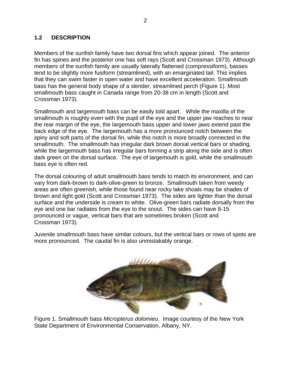#### <span id="page-9-0"></span>**1.2 DESCRIPTION**

Members of the sunfish family have two dorsal fins which appear joined. The anterior fin has spines and the posterior one has soft rays (Scott and Crossman 1973). Although members of the sunfish family are usually laterally flattened (compressiform), basses tend to be slightly more fusiform (streamlined), with an emarginated tail. This implies that they can swim faster in open water and have excellent acceleration. Smallmouth bass has the general body shape of a slender, streamlined perch (Figure 1). Most smallmouth bass caught in Canada range from 20-38 cm in length (Scott and Crossman 1973).

Smallmouth and largemouth bass can be easily told apart. While the maxilla of the smallmouth is roughly even with the pupil of the eye and the upper jaw reaches to near the rear margin of the eye, the largemouth bass upper and lower jaws extend past the back edge of the eye. The largemouth has a more pronounced notch between the spiny and soft parts of the dorsal fin, while this notch is more broadly connected in the smallmouth. The smallmouth has irregular dark brown dorsal vertical bars or shading, while the largemouth bass has irregular bars forming a strip along the side and is often dark green on the dorsal surface. The eye of largemouth is gold, while the smallmouth bass eye is often red.

The dorsal colouring of adult smallmouth bass tends to match its environment, and can vary from dark-brown to dark-olive-green to bronze. Smallmouth taken from weedy areas are often greenish, while those found near rocky lake shoals may be shades of brown and light gold (Scott and Crossman 1973). The sides are lighter than the dorsal surface and the underside is cream to white. Olive-green bars radiate dorsally from the eye and one bar radiates from the eye to the snout. The sides can have 8-15 pronounced or vague, vertical bars that are sometimes broken (Scott and Crossman 1973).

Juvenile smallmouth bass have similar colours, but the vertical bars or rows of spots are more pronounced. The caudal fin is also unmistakably orange.



Figure 1. Smallmouth bass *Micropterus dolomieu*. Image courtesy of the New York State Department of Environmental Conservation, Albany, NY.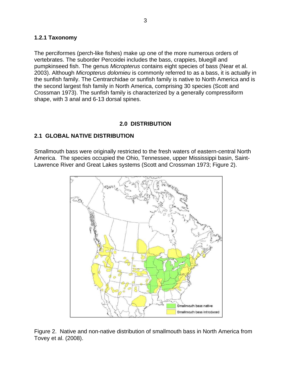#### <span id="page-10-0"></span>**1.2.1 Taxonomy**

The perciformes (perch-like fishes) make up one of the more numerous orders of vertebrates. The suborder Percoidei includes the bass, crappies, bluegill and pumpkinseed fish. The genus *Micropterus* contains eight species of bass (Near et al. 2003). Although *Micropterus dolomieu* is commonly referred to as a bass, it is actually in the sunfish family. The Centrarchidae or sunfish family is native to North America and is the second largest fish family in North America, comprising 30 species (Scott and Crossman 1973). The sunfish family is characterized by a generally compressiform shape, with 3 anal and 6-13 dorsal spines.

#### **2.0 DISTRIBUTION**

#### **2.1 GLOBAL NATIVE DISTRIBUTION**

Smallmouth bass were originally restricted to the fresh waters of eastern-central North America. The species occupied the Ohio, Tennessee, upper Mississippi basin, Saint-Lawrence River and Great Lakes systems (Scott and Crossman 1973; Figure 2).



Figure 2. Native and non-native distribution of smallmouth bass in North America from Tovey et al. (2008).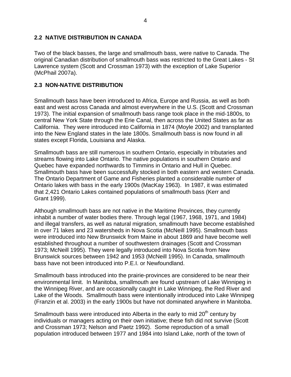#### <span id="page-11-0"></span>**2.2 NATIVE DISTRIBUTION IN CANADA**

Two of the black basses, the large and smallmouth bass, were native to Canada. The original Canadian distribution of smallmouth bass was restricted to the Great Lakes - St Lawrence system (Scott and Crossman 1973) with the exception of Lake Superior (McPhail 2007a).

### **2.3 NON-NATIVE DISTRIBUTION**

Smallmouth bass have been introduced to Africa, Europe and Russia, as well as both east and west across Canada and almost everywhere in the U.S. (Scott and Crossman 1973). The initial expansion of smallmouth bass range took place in the mid-1800s, to central New York State through the Erie Canal, then across the United States as far as California. They were introduced into California in 1874 (Moyle 2002) and transplanted into the New England states in the late 1800s. Smallmouth bass is now found in all states except Florida, Louisiana and Alaska.

Smallmouth bass are still numerous in southern Ontario, especially in tributaries and streams flowing into Lake Ontario. The native populations in southern Ontario and Quebec have expanded northwards to Timmins in Ontario and Hull in Quebec. Smallmouth bass have been successfully stocked in both eastern and western Canada. The Ontario Department of Game and Fisheries planted a considerable number of Ontario lakes with bass in the early 1900s (MacKay 1963). In 1987, it was estimated that 2,421 Ontario Lakes contained populations of smallmouth bass (Kerr and Grant 1999).

Although smallmouth bass are not native in the Maritime Provinces, they currently inhabit a number of water bodies there. Through legal (1967, 1968, 1971, and 1984) and illegal transfers, as well as natural migration, smallmouth have become established in over 71 lakes and 23 watersheds in Nova Scotia (McNeill 1995). Smallmouth bass were introduced into New Brunswick from Maine in about 1869 and have become well established throughout a number of southwestern drainages (Scott and Crossman 1973; McNeill 1995). They were legally introduced into Nova Scotia from New Brunswick sources between 1942 and 1953 (McNeill 1995). In Canada, smallmouth bass have not been introduced into P.E.I. or Newfoundland.

Smallmouth bass introduced into the prairie-provinces are considered to be near their environmental limit. In Manitoba, smallmouth are found upstream of Lake Winnipeg in the Winnipeg River, and are occasionally caught in Lake Winnipeg, the Red River and Lake of the Woods. Smallmouth bass were intentionally introduced into Lake Winnipeg (Franzin et al. 2003) in the early 1900s but have not dominated anywhere in Manitoba.

Smallmouth bass were introduced into Alberta in the early to mid 20<sup>th</sup> century by individuals or managers acting on their own initiative; these fish did not survive (Scott and Crossman 1973; Nelson and Paetz 1992). Some reproduction of a small population introduced between 1977 and 1984 into Island Lake, north of the town of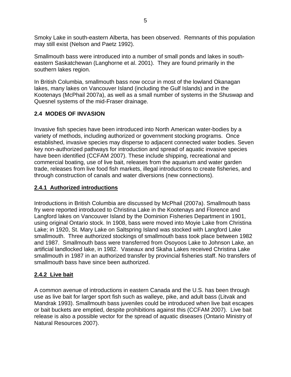<span id="page-12-0"></span>Smoky Lake in south-eastern Alberta, has been observed. Remnants of this population may still exist (Nelson and Paetz 1992).

Smallmouth bass were introduced into a number of small ponds and lakes in southeastern Saskatchewan (Langhorne et al. 2001). They are found primarily in the southern lakes region.

In British Columbia, smallmouth bass now occur in most of the lowland Okanagan lakes, many lakes on Vancouver Island (including the Gulf Islands) and in the Kootenays (McPhail 2007a), as well as a small number of systems in the Shuswap and Quesnel systems of the mid-Fraser drainage.

### **2.4 MODES OF INVASION**

Invasive fish species have been introduced into North American water-bodies by a variety of methods, including authorized or government stocking programs. Once established, invasive species may disperse to adjacent connected water bodies. Seven key non-authorized pathways for introduction and spread of aquatic invasive species have been identified (CCFAM 2007). These include shipping, recreational and commercial boating, use of live bait, releases from the aquarium and water garden trade, releases from live food fish markets, illegal introductions to create fisheries, and through construction of canals and water diversions (new connections).

## **2.4.1 Authorized introductions**

Introductions in British Columbia are discussed by McPhail (2007a). Smallmouth bass fry were reported introduced to Christina Lake in the Kootenays and Florence and Langford lakes on Vancouver Island by the Dominion Fisheries Department in 1901, using original Ontario stock. In 1908, bass were moved into Moyie Lake from Christina Lake; in 1920, St. Mary Lake on Saltspring Island was stocked with Langford Lake smallmouth. Three authorized stockings of smallmouth bass took place between 1982 and 1987. Smallmouth bass were transferred from Osoyoos Lake to Johnson Lake, an artificial landlocked lake, in 1982.Vaseaux and Skaha Lakes received Christina Lake smallmouth in 1987 in an authorized transfer by provincial fisheries staff. No transfers of smallmouth bass have since been authorized.

### **2.4.2 Live bait**

A common avenue of introductions in eastern Canada and the U.S. has been through use as live bait for larger sport fish such as walleye, pike, and adult bass (Litvak and Mandrak 1993). Smallmouth bass juveniles could be introduced when live bait escapes or bait buckets are emptied, despite prohibitions against this (CCFAM 2007). Live bait release is also a possible vector for the spread of aquatic diseases (Ontario Ministry of Natural Resources 2007).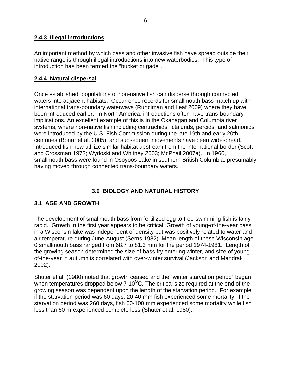#### <span id="page-13-0"></span>**2.4.3 Illegal introductions**

An important method by which bass and other invasive fish have spread outside their native range is through illegal introductions into new waterbodies. This type of introduction has been termed the "bucket brigade".

### **2.4.4 Natural dispersal**

Once established, populations of non-native fish can disperse through connected waters into adjacent habitats. Occurrence records for smallmouth bass match up with international trans-boundary waterways (Runciman and Leaf 2009) where they have been introduced earlier. In North America, introductions often have trans-boundary implications. An excellent example of this is in the Okanagan and Columbia river systems, where non-native fish including centrachids, ictalurids, percids, and salmonids were introduced by the U.S. Fish Commission during the late 19th and early 20th centuries (Bonar et al. 2005), and subsequent movements have been widespread. Introduced fish now utlilize similar habitat upstream from the international border (Scott and Crossman 1973; Wydoski and Whitney 2003; McPhail 2007a). In 1960, smallmouth bass were found in Osoyoos Lake in southern British Columbia, presumably having moved through connected trans-boundary waters.

### **3.0 BIOLOGY AND NATURAL HISTORY**

### **3.1 AGE AND GROWTH**

The development of smallmouth bass from fertilized egg to free-swimming fish is fairly rapid. Growth in the first year appears to be critical. Growth of young-of-the-year bass in a Wisconsin lake was independent of density but was positively related to water and air temperature during June-August (Serns 1982). Mean length of these Wisconsin age-0 smallmouth bass ranged from 68.7 to 81.3 mm for the period 1974-1981. Length of the growing season determined the size of bass fry entering winter, and size of youngof-the-year in autumn is correlated with over-winter survival (Jackson and Mandrak 2002).

Shuter et al. (1980) noted that growth ceased and the "winter starvation period" began when temperatures dropped below  $7-10^{\circ}$ C. The critical size required at the end of the growing season was dependent upon the length of the starvation period. For example, if the starvation period was 60 days, 20-40 mm fish experienced some mortality; if the starvation period was 260 days, fish 60-100 mm experienced some mortality while fish less than 60 m experienced complete loss (Shuter et al. 1980).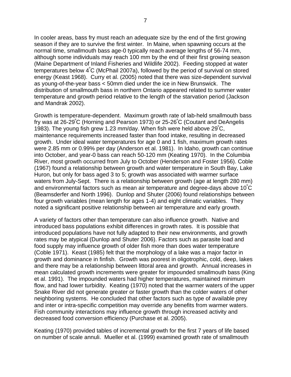In cooler areas, bass fry must reach an adequate size by the end of the first growing season if they are to survive the first winter. In Maine, when spawning occurs at the normal time, smallmouth bass age-0 typically reach average lengths of 56-74 mm, although some individuals may reach 100 mm by the end of their first growing season (Maine Department of Inland Fisheries and Wildlife 2002). Feeding stopped at water temperatures below 4º C (McPhail 2007a), followed by the period of survival on stored energy (Keast 1968). Curry et al. (2005) noted that there was size-dependent survival as young-of-the-year bass < 50mm died under the ice in New Brunswick. The distribution of smallmouth bass in northern Ontario appeared related to summer water temperature and growth period relative to the length of the starvation period (Jackson and Mandrak 2002).

Growth is temperature-dependent. Maximum growth rate of lab-held smallmouth bass fry was at 26-29º C (Horning and Pearson 1973) or 25-26º C (Coutant and DeAngelis 1983). The young fish grew 1.23 mm/day. When fish were held above 29°C, maintenance requirements increased faster than food intake, resulting in decreased growth. Under ideal water temperatures for age 0 and 1 fish, maximum growth rates were 2.85 mm or 0.99% per day (Anderson et al. 1981). In Idaho, growth can continue into October, and year-0 bass can reach 50-120 mm (Keating 1970). In the Columbia River, most growth occurred from July to October (Henderson and Foster 1956). Coble (1967) found a relationship between growth and water temperature in South Bay, Lake Huron, but only for bass aged 3 to 5; growth was associated with warmer surface waters from July-Sept. There is a relationship between growth (age at length 280 mm) and environmental factors such as mean air temperature and degree-days above 10<sup>º</sup> C (Beamsderfer and North 1996). Dunlop and Shuter (2006) found relationships between four growth variables (mean length for ages 1-4) and eight climatic variables. They noted a significant positive relationship between air temperature and early growth.

A variety of factors other than temperature can also influence growth. Native and introduced bass populations exhibit differences in growth rates. It is possible that introduced populations have not fully adapted to their new environments, and growth rates may be atypical (Dunlop and Shuter 2006). Factors such as parasite load and food supply may influence growth of older fish more than does water temperature (Coble 1971). Keast (1985) felt that the morphology of a lake was a major factor in growth and dominance in finfish. Growth was poorest in oligotrophic, cold, deep, lakes and there may be a relationship between littoral area and growth. Annual increases in mean calculated growth increments were greater for impounded smallmouth bass (King et al. 1991). The impounded waters had higher temperatures, maintained minimum flow, and had lower turbidity. Keating (1970) noted that the warmer waters of the upper Snake River did not generate greater or faster growth than the colder waters of other neighboring systems. He concluded that other factors such as type of available prey and inter or intra-specific competition may override any benefits from warmer waters. Fish community interactions may influence growth through increased activity and decreased food conversion efficiency (Purchase et al. 2005).

Keating (1970) provided tables of incremental growth for the first 7 years of life based on number of scale annuli. Mueller et al. (1999) examined growth rate of smallmouth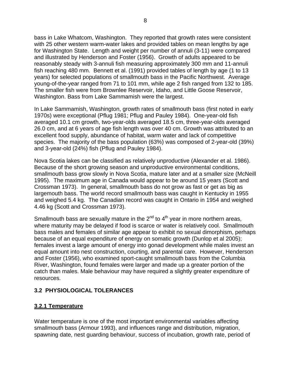<span id="page-15-0"></span>bass in Lake Whatcom, Washington. They reported that growth rates were consistent with 25 other western warm-water lakes and provided tables on mean lengths by age for Washington State. Length and weight per number of annuli (3-11) were compared and illustrated by Henderson and Foster (1956). Growth of adults appeared to be reasonably steady with 3-annuli fish measuring approximately 300 mm and 11-annuli fish reaching 480 mm. Bennett et al. (1991) provided tables of length by age (1 to 13 years) for selected populations of smallmouth bass in the Pacific Northwest. Average young-of-the-year ranged from 71 to 101 mm, while age 2 fish ranged from 132 to 185. The smaller fish were from Brownlee Reservoir, Idaho, and Little Goose Reservoir, Washington. Bass from Lake Sammamish were the largest.

In Lake Sammamish, Washington, growth rates of smallmouth bass (first noted in early 1970s) were exceptional (Pflug 1981; Pflug and Pauley 1984). One-year-old fish averaged 10.1 cm growth, two-year-olds averaged 18.5 cm, three-year-olds averaged 26.0 cm, and at 6 years of age fish length was over 40 cm. Growth was attributed to an excellent food supply, abundance of habitat, warm water and lack of competitive species. The majority of the bass population (63%) was composed of 2-year-old (39%) and 3-year-old (24%) fish (Pflug and Pauley 1984).

Nova Scotia lakes can be classified as relatively unproductive (Alexander et al. 1986). Because of the short growing season and unproductive environmental conditions, smallmouth bass grow slowly in Nova Scotia, mature later and at a smaller size (McNeill 1995). The maximum age in Canada would appear to be around 15 years (Scott and Crossman 1973). In general, smallmouth bass do not grow as fast or get as big as largemouth bass. The world record smallmouth bass was caught in Kentucky in 1955 and weighed 5.4 kg.The Canadian record was caught in Ontario in 1954 and weighed 4.46 kg (Scott and Crossman 1973).

Smallmouth bass are sexually mature in the  $2^{nd}$  to  $4^{th}$  year in more northern areas, where maturity may be delayed if food is scarce or water is relatively cool. Smallmouth bass males and females of similar age appear to exhibit no sexual dimorphism, perhaps because of an equal expenditure of energy on somatic growth (Dunlop et al 2005); females invest a large amount of energy into gonad development while males invest an equal amount into nest construction, courting, and parental care. However, Henderson and Foster (1956), who examined sport-caught smallmouth bass from the Columbia River, Washington, found females were larger and made up a greater portion of the catch than males. Male behaviour may have required a slightly greater expenditure of resources.

#### **3.2 PHYSIOLOGICAL TOLERANCES**

### **3.2.1 Temperature**

Water temperature is one of the most important environmental variables affecting smallmouth bass (Armour 1993), and influences range and distribution, migration, spawning date, nest guarding behaviour, success of incubation, growth rate, period of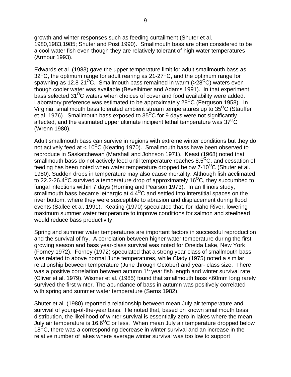growth and winter responses such as feeding curtailment (Shuter et al. 1980,1983,1985; Shuter and Post 1990). Smallmouth bass are often considered to be a cool-water fish even though they are relatively tolerant of high water temperatures (Armour 1993).

Edwards et al. (1983) gave the upper temperature limit for adult smallmouth bass as  $32^{\circ}$ C, the optimum range for adult rearing as 21-27 $^{\circ}$ C, and the optimum range for spawning as 12.8-21<sup>o</sup>C. Smallmouth bass remained in warm ( $>$ 28<sup>o</sup>C) waters even though cooler water was available (Bevelhimer and Adams 1991). In that experiment, bass selected  $31^{\circ}$ C waters when choices of cover and food availability were added. Laboratory preference was estimated to be approximately  $28^{\circ}$ C (Ferguson 1958). In Virginia, smallmouth bass tolerated ambient stream temperatures up to  $35^{\circ}$ C (Stauffer et al. 1976). Smallmouth bass exposed to  $35^{\circ}$ C for 9 days were not significantly affected, and the estimated upper ultimate incipient lethal temperature was  $37^{\circ}$ C (Wrenn 1980).

Adult smallmouth bass can survive in regions with extreme winter conditions but they do not actively feed at  $< 10^{0}$ C (Keating 1970). Smallmouth bass have been observed to reproduce in Saskatchewan (Marshall and Johnson 1971). Keast (1968) noted that smallmouth bass do not actively feed until temperature reaches  $8.5^{\circ}$ C, and cessation of feeding has been noted when water temperature dropped below  $7-10^{O}C$  (Shuter et al. 1980). Sudden drops in temperature may also cause mortality. Although fish acclimated to 22.2-26.4<sup>o</sup>C survived a temperature drop of approximately 16<sup>o</sup>C, they succumbed to fungal infections within 7 days (Horning and Pearson 1973). In an Illinois study, smallmouth bass became lethargic at  $4.4^{\circ}$ C and settled into interstitial spaces on the river bottom, where they were susceptible to abrasion and displacement during flood events (Sallee et al. 1991). Keating (1970) speculated that, for Idaho River, lowering maximum summer water temperature to improve conditions for salmon and steelhead would reduce bass productivity.

Spring and summer water temperatures are important factors in successful reproduction and the survival of fry. A correlation between higher water temperature during the first growing season and bass year-class survival was noted for Oneida Lake, New York (Forney 1972). Forney (1972) speculated that a strong year-class of smallmouth bass was related to above normal June temperatures, while Clady (1975) noted a similar relationship between temperature (June through October) and year- class size. There was a positive correlation between autumn 1<sup>st</sup> year fish length and winter survival rate (Oliver et al. 1979). Wismer et al. (1985) found that smallmouth bass <60mm long rarely survived the first winter. The abundance of bass in autumn was positively correlated with spring and summer water temperature (Serns 1982).

Shuter et al. (1980) reported a relationship between mean July air temperature and survival of young-of-the-year bass. He noted that, based on known smallmouth bass distribution, the likelihood of winter survival is essentially zero in lakes where the mean July air temperature is 16.6<sup>o</sup>C or less. When mean July air temperature dropped below  $18^{\circ}$ C, there was a corresponding decrease in winter survival and an increase in the relative number of lakes where average winter survival was too low to support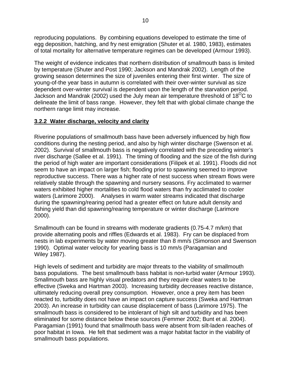<span id="page-17-0"></span>reproducing populations. By combining equations developed to estimate the time of egg deposition, hatching, and fry nest emigration (Shuter et al. 1980, 1983), estimates of total mortality for alternative temperature regimes can be developed (Armour 1993).

The weight of evidence indicates that northern distribution of smallmouth bass is limited by temperature (Shuter and Post 1990; Jackson and Mandrak 2002). Length of the growing season determines the size of juveniles entering their first winter. The size of young-of-the year bass in autumn is correlated with their over-winter survival as size dependent over-winter survival is dependent upon the length of the starvation period. Jackson and Mandrak (2002) used the July mean air temperature threshold of 18<sup>O</sup>C to delineate the limit of bass range. However, they felt that with global climate change the northern range limit may increase.

#### **3.2.2 Water discharge, velocity and clarity**

Riverine populations of smallmouth bass have been adversely influenced by high flow conditions during the nesting period, and also by high winter discharge (Swenson et al. 2002). Survival of smallmouth bass is negatively correlated with the preceding winter's river discharge (Sallee et al. 1991). The timing of flooding and the size of the fish during the period of high water are important considerations (Filipek et al. 1991). Floods did not seem to have an impact on larger fish; flooding prior to spawning seemed to improve reproductive success. There was a higher rate of nest success when stream flows were relatively stable through the spawning and nursery seasons. Fry acclimated to warmer waters exhibited higher mortalities to cold flood waters than fry acclimated to cooler waters (Larimore 2000). Analyses in warm water streams indicated that discharge during the spawning/rearing period had a greater effect on future adult density and fishing yield than did spawning/rearing temperature or winter discharge (Larimore 2000).

Smallmouth can be found in streams with moderate gradients (0.75-4.7 m/km) that provide alternating pools and riffles (Edwards et al. 1983). Fry can be displaced from nests in lab experiments by water moving greater than 8 mm/s (Simonson and Swenson 1990). Optimal water velocity for yearling bass is 10 mm/s (Paragamian and Wiley 1987).

High levels of sediment and turbidity are major threats to the viability of smallmouth bass populations. The best smallmouth bass habitat is non-turbid water (Armour 1993). Smallmouth bass are highly visual predators and they require clear waters to be effective (Sweka and Hartman 2003). Increasing turbidity decreases reactive distance, ultimately reducing overall prey consumption. However, once a prey item has been reacted to, turbidity does not have an impact on capture success (Sweka and Hartman 2003). An increase in turbidity can cause displacement of bass (Larimore 1975). The smallmouth bass is considered to be intolerant of high silt and turbidity and has been eliminated for some distance below these sources (Femmer 2002; Bunt et al. 2004). Paragamian (1991) found that smallmouth bass were absent from silt-laden reaches of poor habitat in Iowa. He felt that sediment was a major habitat factor in the viability of smallmouth bass populations.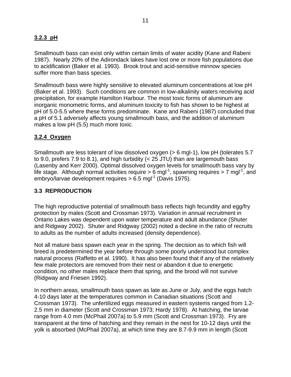### <span id="page-18-0"></span>**3.2.3 pH**

Smallmouth bass can exist only within certain limits of water acidity (Kane and Rabeni 1987). Nearly 20% of the Adirondack lakes have lost one or more fish populations due to acidification (Baker et al. 1993). Brook trout and acid-sensitive minnow species suffer more than bass species.

Smallmouth bass were highly sensitive to elevated aluminum concentrations at low pH (Baker et al. 1993). Such conditions are common in low-alkalinity waters receiving acid precipitation, for example Hamilton Harbour. The most toxic forms of aluminum are inorganic monometric forms, and aluminum toxicity to fish has shown to be highest at pH of 5.0-5.5 where these forms predominate. Kane and Rabeni (1987) concluded that a pH of 5.1 adversely affects young smallmouth bass, and the addition of aluminum makes a low pH (5.5) much more toxic.

#### **3.2.4 Oxygen**

Smallmouth are less tolerant of low dissolved oxygen (> 6 mgl-1), low pH (tolerates 5.7 to 9.0, prefers 7.9 to 8.1), and high turbidity (< 25 JTU) than are largemouth bass (Lasenby and Kerr 2000). Optimal dissolved oxygen levels for smallmouth bass vary by life stage. Although normal activities require  $> 6$  mgl<sup>-1</sup>, spawning requires  $> 7$  mgl<sup>-1</sup>, and embryo/larvae development requires  $> 6.5$  mgl<sup>-1</sup> (Davis 1975).

#### **3.3 REPRODUCTION**

The high reproductive potential of smallmouth bass reflects high fecundity and egg/fry protection by males (Scott and Crossman 1973). Variation in annual recruitment in Ontario Lakes was dependent upon water temperature and adult abundance (Shuter and Ridgway 2002). Shuter and Ridgway (2002) noted a decline in the ratio of recruits to adults as the number of adults increased (density dependence).

Not all mature bass spawn each year in the spring. The decision as to which fish will breed is predetermined the year before through some poorly understood but complex natural process (Raffetto et al. 1990). It has also been found that if any of the relatively few male protectors are removed from their nest or abandon it due to energetic condition, no other males replace them that spring, and the brood will not survive (Ridgway and Friesen 1992).

In northern areas, smallmouth bass spawn as late as June or July, and the eggs hatch 4-10 days later at the temperatures common in Canadian situations (Scott and Crossman 1973). The unfertilized eggs measured in eastern systems ranged from 1.2- 2.5 mm in diameter (Scott and Crossman 1973; Hardy 1978). At hatching, the larvae range from 4.0 mm (McPhail 2007a) to 5.9 mm (Scott and Crossman 1973). Fry are transparent at the time of hatching and they remain in the nest for 10-12 days until the yolk is absorbed (McPhail 2007a), at which time they are 8.7-9.9 mm in length (Scott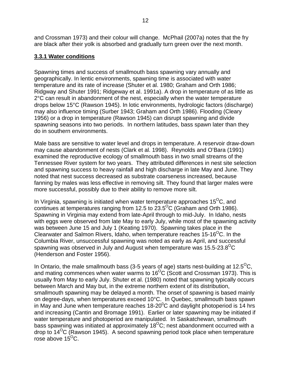<span id="page-19-0"></span>and Crossman 1973) and their colour will change. McPhail (2007a) notes that the fry are black after their yolk is absorbed and gradually turn green over the next month.

#### **3.3.1 Water conditions**

Spawning times and success of smallmouth bass spawning vary annually and geographically. In lentic environments, spawning time is associated with water temperature and its rate of increase (Shuter et al. 1980; Graham and Orth 1986; Ridgway and Shuter 1991; Ridgeway et al. 1991a). A drop in temperature of as little as 2°C can result in abandonment of the nest, especially when the water temperature drops below 15°C (Rawson 1945). In lotic environments, hydrologic factors (discharge) may also influence timing (Surber 1943; Graham and Orth 1986). Flooding (Cleary 1956) or a drop in temperature (Rawson 1945) can disrupt spawning and divide spawning seasons into two periods. In northern latitudes, bass spawn later than they do in southern environments.

Male bass are sensitive to water level and drops in temperature. A reservoir draw-down may cause abandonment of nests (Clark et al. 1998). Reynolds and O'Bara (1991) examined the reproductive ecology of smallmouth bass in two small streams of the Tennessee River system for two years. They attributed differences in nest site selection and spawning success to heavy rainfall and high discharge in late May and June. They noted that nest success decreased as substrate coarseness increased, because fanning by males was less effective in removing silt. They found that larger males were more successful, possibly due to their ability to remove more silt.

In Virginia, spawning is initiated when water temperature approaches  $15^{\circ}$ C, and continues at temperatures ranging from 12.5 to  $23.5^{\circ}$ C (Graham and Orth 1986). Spawning in Virginia may extend from late-April through to mid-July. In Idaho, nests with eggs were observed from late May to early July, while most of the spawning activity was between June 15 and July 1 (Keating 1970). Spawning takes place in the Clearwater and Salmon Rivers, Idaho, when temperature reaches 15-16<sup>O</sup>C. In the Columbia River, unsuccessful spawning was noted as early as April, and successful spawning was observed in July and August when temperature was  $15.5$ -23.8<sup>O</sup>C (Henderson and Foster 1956).

In Ontario, the male smallmouth bass (3-5 years of age) starts nest-building at 12.5 $^{\circ}$ C, and mating commences when water warms to  $16^{\circ}$ C (Scott and Crossman 1973). This is usually from May to early July. Shuter et al. (1980) noted that spawning typically occurs between March and May but, in the extreme northern extent of its distribution, smallmouth spawning may be delayed a month. The onset of spawning is based mainly on degree-days, when temperatures exceed 10°C. In Quebec, smallmouth bass spawn in May and June when temperature reaches 18-20 $\mathrm{^0C}$  and daylight photoperiod is 14 hrs and increasing (Cantin and Bromage 1991). Earlier or later spawning may be initiated if water temperature and photoperiod are manipulated. In Saskatchewan, smallmouth bass spawning was initiated at approximately  $18^{\circ}$ C; nest abandonment occurred with a drop to  $14^{\circ}$ C (Rawson 1945). A second spawning period took place when temperature rose above  $15^{\circ}$ C.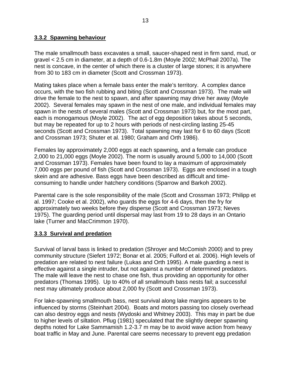#### <span id="page-20-0"></span>**3.3.2 Spawning behaviour**

The male smallmouth bass excavates a small, saucer-shaped nest in firm sand, mud, or gravel < 2.5 cm in diameter, at a depth of 0.6-1.8m (Moyle 2002; McPhail 2007a). The nest is concave, in the center of which there is a cluster of large stones; it is anywhere from 30 to 183 cm in diameter (Scott and Crossman 1973).

Mating takes place when a female bass enter the male's territory. A complex dance occurs, with the two fish rubbing and biting (Scott and Crossman 1973). The male will drive the female to the nest to spawn, and after spawning may drive her away (Moyle 2002). Several females may spawn in the nest of one male, and individual females may spawn in the nests of several males (Scott and Crossman 1973) but, for the most part, each is monogamous (Moyle 2002). The act of egg deposition takes about 5 seconds, but may be repeated for up to 2 hours with periods of nest-circling lasting 25-45 seconds (Scott and Crossman 1973). Total spawning may last for 6 to 60 days (Scott and Crossman 1973; Shuter et al. 1980; Graham and Orth 1986).

Females lay approximately 2,000 eggs at each spawning, and a female can produce 2,000 to 21,000 eggs (Moyle 2002). The norm is usually around 5,000 to 14,000 (Scott and Crossman 1973). Females have been found to lay a maximum of approximately 7,000 eggs per pound of fish (Scott and Crossman 1973). Eggs are enclosed in a tough skein and are adhesive. Bass eggs have been described as difficult and timeconsuming to handle under hatchery conditions (Sparrow and Barkoh 2002).

Parental care is the sole responsibility of the male (Scott and Crossman 1973; Philipp et al. 1997; Cooke et al. 2002), who guards the eggs for 4-6 days, then the fry for approximately two weeks before they disperse (Scott and Crossman 1973; Neves 1975). The guarding period until dispersal may last from 19 to 28 days in an Ontario lake (Turner and MacCrimmon 1970).

### **3.3.3 Survival and predation**

Survival of larval bass is linked to predation (Shroyer and McComish 2000) and to prey community structure (Siefert 1972; Bonar et al. 2005; Fulford et al. 2006). High levels of predation are related to nest failure (Lukas and Orth 1995). A male guarding a nest is effective against a single intruder, but not against a number of determined predators. The male will leave the nest to chase one fish, thus providing an opportunity for other predators (Thomas 1995). Up to 40% of all smallmouth bass nests fail; a successful nest may ultimately produce about 2,000 fry (Scott and Crossman 1973).

For lake-spawning smallmouth bass, nest survival along lake margins appears to be influenced by storms (Steinhart 2004). Boats and motors passing too closely overhead can also destroy eggs and nests (Wydoski and Whitney 2003). This may in part be due to higher levels of siltation. Pflug (1981) speculated that the slightly deeper spawning depths noted for Lake Sammamish 1.2-3.7 m may be to avoid wave action from heavy boat traffic in May and June. Parental care seems necessary to prevent egg predation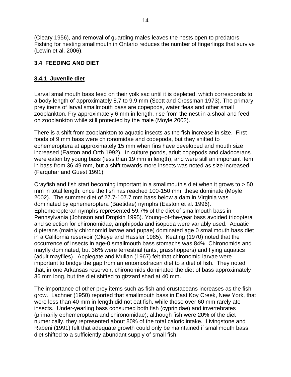<span id="page-21-0"></span>(Cleary 1956), and removal of guarding males leaves the nests open to predators. Fishing for nesting smallmouth in Ontario reduces the number of fingerlings that survive (Lewin et al. 2006).

### **3.4 FEEDING AND DIET**

### **3.4.1 Juvenile diet**

Larval smallmouth bass feed on their yolk sac until it is depleted, which corresponds to a body length of approximately 8.7 to 9.9 mm (Scott and Crossman 1973). The primary prey items of larval smallmouth bass are copepods, water fleas and other small zooplankton. Fry approximately 6 mm in length, rise from the nest in a shoal and feed on zooplankton while still protected by the male (Moyle 2002).

There is a shift from zooplankton to aquatic insects as the fish increase in size. First foods of 9 mm bass were chironomidae and copepoda, but they shifted to ephemeroptera at approximately 15 mm when fins have developed and mouth size increased (Easton and Orth 1992). In culture ponds, adult copepods and cladocerans were eaten by young bass (less than 19 mm in length), and were still an important item in bass from 36-49 mm, but a shift towards more insects was noted as size increased (Farquhar and Guest 1991).

Crayfish and fish start becoming important in a smallmouth's diet when it grows to > 50 mm in total length; once the fish has reached 100-150 mm, these dominate (Moyle 2002). The summer diet of 27.7-107.7 mm bass below a dam in Virginia was dominated by ephemeroptera (Baetidae) nymphs (Easton et al. 1996). Ephemeropteran nymphs represented 59.7% of the diet of smallmouth bass in Pennsylvania (Johnson and Dropkin 1995). Young–of-the-year bass avoided tricoptera and selection for chironomidae, amphipoda and isopoda were variably used. Aquatic dipterans (mainly chironomid larvae and pupae) dominated age 0 smallmouth bass diet in a California reservoir (Okeye and Hassler 1985). Keating (1970) noted that the occurrence of insects in age-0 smallmouth bass stomachs was 84%. Chironomids and mayfly dominated, but 36% were terrestrial (ants, grasshoppers) and flying aquatics (adult mayflies). Applegate and Mullan (1967) felt that chironomid larvae were important to bridge the gap from an entomostracan diet to a diet of fish. They noted that, in one Arkansas reservoir, chironomids dominated the diet of bass approximately 36 mm long, but the diet shifted to gizzard shad at 40 mm.

The importance of other prey items such as fish and crustaceans increases as the fish grow. Lachner (1950) reported that smallmouth bass in East Koy Creek, New York, that were less than 40 mm in length did not eat fish, while those over 60 mm rarely ate insects. Under-yearling bass consumed both fish (cyprinidae) and invertebrates (primarily ephemeroptera and chironomidae); although fish were 20% of the diet numerically, they represented about 80% of the total caloric intake. Livingstone and Rabeni (1991) felt that adequate growth could only be maintained if smallmouth bass diet shifted to a sufficiently abundant supply of small fish.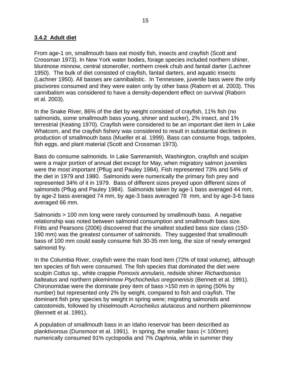#### <span id="page-22-0"></span>**3.4.2 Adult diet**

From age-1 on, smallmouth bass eat mostly fish, insects and crayfish (Scott and Crossman 1973). In New York water bodies, forage species included northern shiner, bluntnose minnow, central stoneroller, northern creek chub and fantail darter (Lachner 1950). The bulk of diet consisted of crayfish, fantail darters, and aquatic insects (Lachner 1950). All basses are cannibalistic. In Tennessee, juvenile bass were the only piscivores consumed and they were eaten only by other bass (Raborn et al. 2003). This cannibalism was considered to have a density-dependent effect on survival (Raborn et al. 2003).

In the Snake River, 86% of the diet by weight consisted of crayfish, 11% fish (no salmonids, some smallmouth bass young, shiner and sucker), 2% insect, and 1% terrestrial (Keating 1970). Crayfish were considered to be an important diet item in Lake Whatcom, and the crayfish fishery was considered to result in substantial declines in production of smallmouth bass (Mueller et al. 1999). Bass can consume frogs, tadpoles, fish eggs, and plant material (Scott and Crossman 1973).

Bass do consume salmonids. In Lake Sammamish, Washington, crayfish and sculpin were a major portion of annual diet except for May, when migratory salmon juveniles were the most important (Pflug and Pauley 1984). Fish represented 73% and 54% of the diet in 1979 and 1980. Salmonids were numerically the primary fish prey and represented 34% of it in 1979. Bass of different sizes preyed upon different sizes of salmonids (Pflug and Pauley 1984). Salmonids taken by age-1 bass averaged 44 mm, by age-2 bass averaged 74 mm, by age-3 bass averaged 78 mm, and by age-3-6 bass averaged 66 mm.

Salmonids > 100 mm long were rarely consumed by smallmouth bass. A negative relationship was noted between salmonid consumption and smallmouth bass size*.*  Fritts and Pearsons (2006) discovered that the smallest studied bass size class (150- 190 mm) was the greatest consumer of salmonids. They suggested that smallmouth bass of 100 mm could easily consume fish 30-35 mm long, the size of newly emerged salmonid fry.

In the Columbia River, crayfish were the main food item (72% of total volume), although ten species of fish were consumed. The fish species that dominated the diet were sculpin *Cottus* sp., white crappie *Pomoxis annularis*, redside shiner *Richardsonius balteatus* and northern pikeminnow *Ptychocheilus oregonenisis* (Bennett et al. 1991). Chironomidae were the dominate prey item of bass >150 mm in spring (50% by number) but represented only 2% by weight, compared to fish and crayfish. The dominant fish prey species by weight in spring were; migrating salmonids and catostomids, followed by chiselmouth *Acrocheilus alutaceus* and northern pikeminnow (Bennett et al. 1991).

A population of smallmouth bass in an Idaho reservoir has been described as planktivorous (Dunsmoor et al. 1991). In spring, the smaller bass (< 100mm) numerically consumed 91% cyclopodia and 7% *Daphnia*, while in summer they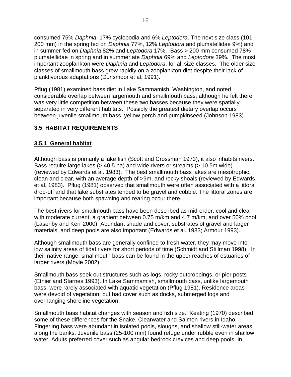<span id="page-23-0"></span>consumed 75% *Daphnia*, 17% cyclopodia and 6% *Leptodora*. The next size class (101- 200 mm) in the spring fed on *Daphnia* 77%, 12% *Leptodora* and plumatellidae 9%) and in summer fed on *Daphnia* 82% and *Leptodora* 17%. Bass > 200 mm consumed 78% plumatellidae in spring and in summer ate *Daphnia* 69% and *Leptodora* 39%. The most important zooplankton were *Daphnia* and *Leptodora*, for all size classes. The older size classes of smallmouth bass grew rapidly on a zooplankton diet despite their lack of planktivorous adaptations (Dunsmoor et al. 1991).

Pflug (1981) examined bass diet in Lake Sammamish, Washington, and noted considerable overlap between largemouth and smallmouth bass, although he felt there was very little competition between these two basses because they were spatially separated in very different habitats. Possibly the greatest dietary overlap occurs between juvenile smallmouth bass, yellow perch and pumpkinseed (Johnson 1983).

### **3.5 HABITAT REQUIREMENTS**

### **3.5.1 General habitat**

Although bass is primarily a lake fish (Scott and Crossman 1973), it also inhabits rivers. Bass require large lakes (> 40.5 ha) and wide rivers or streams (> 10.5m wide) (reviewed by Edwards et al. 1983). The best smallmouth bass lakes are mesotrophic, clean and clear, with an average depth of >9m, and rocky shoals (reviewed by Edwards et al. 1983). Pflug (1981) observed that smallmouth were often associated with a littoral drop-off and that lake substrates tended to be gravel and cobble. The littoral zones are important because both spawning and rearing occur there.

The best rivers for smallmouth bass have been described as mid-order, cool and clear, with moderate current, a gradient between 0.75 m/km and 4.7 m/km, and over 50% pool (Lasenby and Kerr 2000). Abundant shade and cover, substrates of gravel and larger materials, and deep pools are also important (Edwards et al. 1983; Armour 1993).

Although smallmouth bass are generally confined to fresh water, they may move into low salinity areas of tidal rivers for short periods of time (Schmidt and Stillman 1998). In their native range, smallmouth bass can be found in the upper reaches of estuaries of larger rivers (Moyle 2002).

Smallmouth bass seek out structures such as logs, rocky outcroppings, or pier posts (Etnier and Starnes 1993). In Lake Sammamish, smallmouth bass, unlike largemouth bass, were rarely associated with aquatic vegetation (Pflug 1981). Residence areas were devoid of vegetation, but had cover such as docks, submerged logs and overhanging shoreline vegetation.

Smallmouth bass habitat changes with season and fish size. Keating (1970) described some of these differences for the Snake, Clearwater and Salmon rivers in Idaho. Fingerling bass were abundant in isolated pools, sloughs, and shallow still-water areas along the banks. Juvenile bass (25-100 mm) found refuge under rubble even in shallow water. Adults preferred cover such as angular bedrock crevices and deep pools. In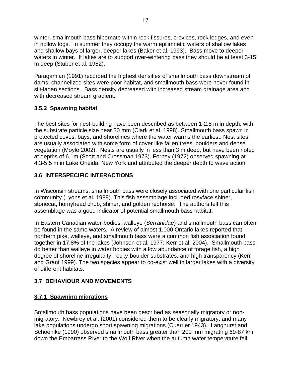<span id="page-24-0"></span>winter, smallmouth bass hibernate within rock fissures, crevices, rock ledges, and even in hollow logs. In summer they occupy the warm epilimnetic waters of shallow lakes and shallow bays of larger, deeper lakes (Baker et al. 1993). Bass move to deeper waters in winter. If lakes are to support over-wintering bass they should be at least 3-15 m deep (Stuber et al. 1982).

Paragamian (1991) recorded the highest densities of smallmouth bass downstream of dams; channelized sites were poor habitat, and smallmouth bass were never found in silt-laden sections. Bass density decreased with increased stream drainage area and with decreased stream gradient.

### **3.5.2 Spawning habitat**

The best sites for nest-building have been described as between 1-2.5 m in depth, with the substrate particle size near 30 mm (Clark et al. 1998). Smallmouth bass spawn in protected coves, bays, and shorelines where the water warms the earliest. Nest sites are usually associated with some form of cover like fallen trees, boulders and dense vegetation (Moyle 2002). Nests are usually in less than 3 m deep, but have been noted at depths of 6.1m (Scott and Crossman 1973). Forney (1972) observed spawning at 4.3-5.5 m in Lake Oneida, New York and attributed the deeper depth to wave action.

### **3.6 INTERSPECIFIC INTERACTIONS**

In Wisconsin streams, smallmouth bass were closely associated with one particular fish community (Lyons et al. 1988). This fish assemblage included rosyface shiner, stonecat, hornyhead chub, shiner, and golden redhorse. The authors felt this assemblage was a good indicator of potential smallmouth bass habitat.

In Eastern Canadian water-bodies, walleye (*Serranidae*) and smallmouth bass can often be found in the same waters. A review of almost 1,000 Ontario lakes reported that northern pike, walleye, and smallmouth bass were a common fish association found together in 17.8% of the lakes (Johnson et al. 1977; Kerr et al. 2004). Smallmouth bass do better than walleye in water bodies with a low abundance of forage fish, a high degree of shoreline irregularity, rocky-boulder substrates, and high transparency (Kerr and Grant 1999). The two species appear to co-exist well in larger lakes with a diversity of different habitats.

### **3.7 BEHAVIOUR AND MOVEMENTS**

### **3.7.1 Spawning migrations**

Smallmouth bass populations have been described as seasonally migratory or nonmigratory. Newbrey et al. (2001) considered them to be clearly migratory, and many lake populations undergo short spawning migrations (Cuerrier 1943). Langhurst and Schoenike (1990) observed smallmouth bass greater than 200 mm migrating 69-87 km down the Embarrass River to the Wolf River when the autumn water temperature fell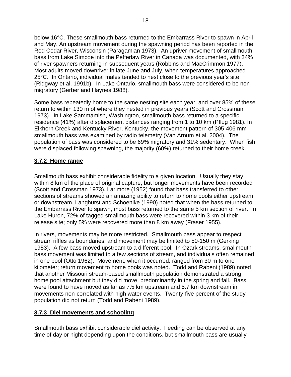<span id="page-25-0"></span>below 16°C. These smallmouth bass returned to the Embarrass River to spawn in April and May. An upstream movement during the spawning period has been reported in the Red Cedar River, Wisconsin (Paragamian 1973). An upriver movement of smallmouth bass from Lake Simcoe into the Pefferlaw River in Canada was documented, with 34% of river spawners returning in subsequent years (Robbins and MacCrimmon 1977). Most adults moved downriver in late June and July, when temperatures approached 25°C. In Ontario, individual males tended to nest close to the previous year's site (Ridgway et al. 1991b). In Lake Ontario, smallmouth bass were considered to be nonmigratory (Gerber and Haynes 1988).

Some bass repeatedly home to the same nesting site each year, and over 85% of these return to within 130 m of where they nested in previous years (Scott and Crossman 1973). In Lake Sammamish, Washington, smallmouth bass returned to a specific residence (41%) after displacement distances ranging from 1 to 10 km (Pflug 1981). In Elkhorn Creek and Kentucky River, Kentucky, the movement pattern of 305-406 mm smallmouth bass was examined by radio telemetry (Van Arnum et al. 2004). The population of bass was considered to be 69% migratory and 31% sedentary. When fish were displaced following spawning, the majority (60%) returned to their home creek.

### **3.7.2 Home range**

Smallmouth bass exhibit considerable fidelity to a given location. Usually they stay within 8 km of the place of original capture, but longer movements have been recorded (Scott and Crossman 1973). Larimore (1952) found that bass transferred to other sections of streams showed an amazing ability to return to home pools either upstream or downstream. Langhurst and Schoenike (1990) noted that when the bass returned to the Embarrass River to spawn, most bass returned to the same 5 km section of river. In Lake Huron, 72% of tagged smallmouth bass were recovered within 3 km of their release site; only 5% were recovered more than 8 km away (Fraser 1955).

In rivers, movements may be more restricted. Smallmouth bass appear to respect stream riffles as boundaries, and movement may be limited to 50-150 m (Gerking 1953). A few bass moved upstream to a different pool. In Ozark streams, smallmouth bass movement was limited to a few sections of stream, and individuals often remained in one pool (Otto 1962). Movement, when it occurred, ranged from 30 m to one kilometer; return movement to home pools was noted. Todd and Rabeni (1989) noted that another Missouri stream-based smallmouth population demonstrated a strong home pool attachment but they did move, predominantly in the spring and fall. Bass were found to have moved as far as 7.5 km upstream and 5.7 km downstream in movements non-correlated with high water events. Twenty-five percent of the study population did not return (Todd and Rabeni 1989).

### **3.7.3 Diel movements and schooling**

Smallmouth bass exhibit considerable diel activity. Feeding can be observed at any time of day or night depending upon the conditions, but smallmouth bass are usually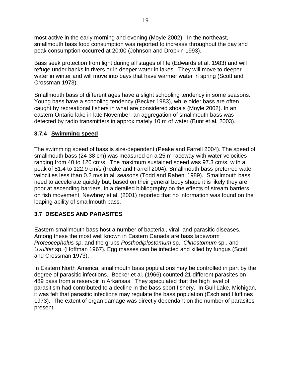<span id="page-26-0"></span>most active in the early morning and evening (Moyle 2002). In the northeast, smallmouth bass food consumption was reported to increase throughout the day and peak consumption occurred at 20:00 (Johnson and Dropkin 1993).

Bass seek protection from light during all stages of life (Edwards et al. 1983) and will refuge under banks in rivers or in deeper water in lakes. They will move to deeper water in winter and will move into bays that have warmer water in spring (Scott and Crossman 1973).

Smallmouth bass of different ages have a slight schooling tendency in some seasons. Young bass have a schooling tendency (Becker 1983), while older bass are often caught by recreational fishers in what are considered shoals (Moyle 2002). In an eastern Ontario lake in late November, an aggregation of smallmouth bass was detected by radio transmitters in approximately 10 m of water (Bunt et al. 2003).

### **3.7.4 Swimming speed**

The swimming speed of bass is size-dependent (Peake and Farrell 2004). The speed of smallmouth bass (24-38 cm) was measured on a 25 m raceway with water velocities ranging from 40 to 120 cm/s. The maximum sustained speed was 97.3 cm/s, with a peak of 81.4 to 122.9 cm/s (Peake and Farrell 2004). Smallmouth bass preferred water velocities less than 0.2 m/s in all seasons (Todd and Rabeni 1989). Smallmouth bass need to accelerate quickly but, based on their general body shape it is likely they are poor at ascending barriers. In a detailed bibliography on the effects of stream barriers on fish movement, Newbrey et al. (2001) reported that no information was found on the leaping ability of smallmouth bass.

### **3.7 DISEASES AND PARASITES**

Eastern smallmouth bass host a number of bacterial, viral, and parasitic diseases. Among these the most well known in Eastern Canada are bass tapeworm *Proteocephalus sp*. and the grubs *Posthodiplostomum* sp., *Clinostomum* sp., and *Uvulifer* sp. (Hoffman 1967). Egg masses can be infected and killed by fungus (Scott and Crossman 1973).

In Eastern North America, smallmouth bass populations may be controlled in part by the degree of parasitic infections. Becker et al. (1966) counted 21 different parasites on 489 bass from a reservoir in Arkansas. They speculated that the high level of parasitism had contributed to a decline in the bass sport fishery. In Gull Lake, Michigan, it was felt that parasitic infections may regulate the bass population (Esch and Huffines 1973). The extent of organ damage was directly dependant on the number of parasites present.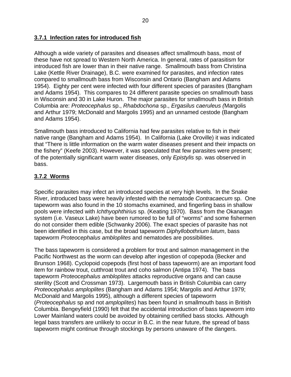#### <span id="page-27-0"></span>**3.7.1 Infection rates for introduced fish**

Although a wide variety of parasites and diseases affect smallmouth bass, most of these have not spread to Western North America. In general, rates of parasitism for introduced fish are lower than in their native range. Smallmouth bass from Christina Lake (Kettle River Drainage), B.C. were examined for parasites, and infection rates compared to smallmouth bass from Wisconsin and Ontario (Bangham and Adams 1954). Eighty per cent were infected with four different species of parasites (Bangham and Adams 1954). This compares to 24 different parasite species on smallmouth bass in Wisconsin and 30 in Lake Huron. The major parasites for smallmouth bass in British Columbia are: *Proteocephalus* sp., *Rhabdochona* sp., *Ergasilus caeruleus (*Margolis and Arthur 1979; McDonald and Margolis 1995) and an unnamed cestode (Bangham and Adams 1954).

Smallmouth bass introduced to California had few parasites relative to fish in their native range (Bangham and Adams 1954). In California (Lake Oroville) it was indicated that "There is little information on the warm water diseases present and their impacts on the fishery" (Keefe 2003). However, it was speculated that few parasites were present; of the potentially significant warm water diseases, only *Epistylis* sp. was observed in bass.

### **3.7.2 Worms**

Specific parasites may infect an introduced species at very high levels. In the Snake River, introduced bass were heavily infested with the nematode *Contracaecum* sp. One tapeworm was also found in the 10 stomachs examined, and fingerling bass in shallow pools were infected with *Ichthyophthirius* sp. (Keating 1970). Bass from the Okanagan system (i.e. Vaseux Lake) have been rumored to be full of "worms" and some fishermen do not consider them edible (Schwanky 2006). The exact species of parasite has not been identified in this case, but the broad tapeworm *Diphyllobothrium latum*, bass tapeworm *Proteocephalus ambloplites* and nematodes are possibilities.

The bass tapeworm is considered a problem for trout and salmon management in the Pacific Northwest as the worm can develop after ingestion of copepoda (Becker and Brunson 1968). Cyclopoid copepods (first host of bass tapeworm) are an important food item for rainbow trout, cutthroat trout and coho salmon (Antipa 1974). The bass tapeworm *Proteocephalus ambloplites* attacks reproductive organs and can cause sterility (Scott and Crossman 1973). Largemouth bass in British Columbia can carry *Proteocephalus amploplites* (Bangham and Adams 1954; Margolis and Arthur 1979; McDonald and Margolis 1995), although a different species of tapeworm (*Proteocephalus* sp and not *amploplites*) has been found in smallmouth bass in British Columbia. Bengeyfield (1990) felt that the accidental introduction of bass tapeworm into Lower Mainland waters could be avoided by obtaining certified bass stocks. Although legal bass transfers are unlikely to occur in B.C. in the near future, the spread of bass tapeworm might continue through stockings by persons unaware of the dangers.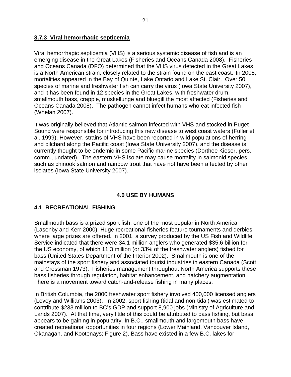#### <span id="page-28-0"></span>**3.7.3 Viral hemorrhagic septicemia**

Viral hemorrhagic septicemia (VHS) is a serious systemic disease of fish and is an emerging disease in the Great Lakes (Fisheries and Oceans Canada 2008). Fisheries and Oceans Canada (DFO) determined that the VHS virus detected in the Great Lakes is a North American strain, closely related to the strain found on the east coast. In 2005, mortalities appeared in the Bay of Quinte, Lake Ontario and Lake St. Clair. Over 50 species of marine and freshwater fish can carry the virus (Iowa State University 2007), and it has been found in 12 species in the Great Lakes, with freshwater drum, smallmouth bass, crappie, muskellunge and bluegill the most affected (Fisheries and Oceans Canada 2008). The pathogen cannot infect humans who eat infected fish (Whelan 2007).

It was originally believed that Atlantic salmon infected with VHS and stocked in Puget Sound were responsible for introducing this new disease to west coast waters (Fuller et al. 1999). However, strains of VHS have been reported in wild populations of herring and pilchard along the Pacific coast (Iowa State University 2007), and the disease is currently thought to be endemic in some Pacific marine species (Dorthee Kieser, pers. comm., undated). The eastern VHS isolate may cause mortality in salmonid species such as chinook salmon and rainbow trout that have not have been affected by other isolates (Iowa State University 2007).

### **4.0 USE BY HUMANS**

### **4.1 RECREATIONAL FISHING**

Smallmouth bass is a prized sport fish, one of the most popular in North America (Lasenby and Kerr 2000). Huge recreational fisheries feature tournaments and derbies where large prizes are offered. In 2001, a survey produced by the US Fish and Wildlife Service indicated that there were 34.1 million anglers who generated \$35.6 billion for the US economy, of which 11.3 million (or 33% of the freshwater anglers) fished for bass (United States Department of the Interior 2002). Smallmouth is one of the mainstays of the sport fishery and associated tourist industries in eastern Canada (Scott and Crossman 1973). Fisheries management throughout North America supports these bass fisheries through regulation, habitat enhancement, and hatchery augmentation. There is a movement toward catch-and-release fishing in many places.

In British Columbia, the 2000 freshwater sport fishery involved 400,000 licensed anglers (Levey and Williams 2003). In 2002, sport fishing (tidal and non-tidal) was estimated to contribute \$233 million to BC's GDP and support 8,900 jobs (Ministry of Agriculture and Lands 2007). At that time, very little of this could be attributed to bass fishing, but bass appears to be gaining in popularity. In B.C., smallmouth and largemouth bass have created recreational opportunities in four regions (Lower Mainland, Vancouver Island, Okanagan, and Kootenays; Figure 2). Bass have existed in a few B.C. lakes for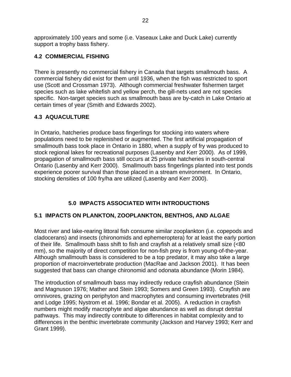<span id="page-29-0"></span>approximately 100 years and some (i.e. Vaseaux Lake and Duck Lake) currently support a trophy bass fishery.

### **4.2 COMMERCIAL FISHING**

There is presently no commercial fishery in Canada that targets smallmouth bass. A commercial fishery did exist for them until 1936, when the fish was restricted to sport use (Scott and Crossman 1973). Although commercial freshwater fishermen target species such as lake whitefish and yellow perch, the gill-nets used are not species specific. Non-target species such as smallmouth bass are by-catch in Lake Ontario at certain times of year (Smith and Edwards 2002).

### **4.3 AQUACULTURE**

In Ontario, hatcheries produce bass fingerlings for stocking into waters where populations need to be replenished or augmented. The first artificial propagation of smallmouth bass took place in Ontario in 1880, when a supply of fry was produced to stock regional lakes for recreational purposes (Lasenby and Kerr 2000). As of 1999, propagation of smallmouth bass still occurs at 25 private hatcheries in south-central Ontario (Lasenby and Kerr 2000). Smallmouth bass fingerlings planted into test ponds experience poorer survival than those placed in a stream environment. In Ontario, stocking densities of 100 fry/ha are utilized (Lasenby and Kerr 2000).

### **5.0 IMPACTS ASSOCIATED WITH INTRODUCTIONS**

### **5.1 IMPACTS ON PLANKTON, ZOOPLANKTON, BENTHOS, AND ALGAE**

Most river and lake-rearing littoral fish consume similar zooplankton (i.e. copepods and cladocerans) and insects (chironomids and ephemeroptera) for at least the early portion of their life. Smallmouth bass shift to fish and crayfish at a relatively small size (<80 mm), so the majority of direct competition for non-fish prey is from young-of-the-year. Although smallmouth bass is considered to be a top predator, it may also take a large proportion of macroinvertebrate production (MacRae and Jackson 2001). It has been suggested that bass can change chironomid and odonata abundance (Morin 1984).

The introduction of smallmouth bass may indirectly reduce crayfish abundance (Stein and Magnuson 1976; Mather and Stein 1993; Somers and Green 1993). Crayfish are omnivores, grazing on periphyton and macrophytes and consuming invertebrates (Hill and Lodge 1995; Nystrom et al. 1996; Bondar et al. 2005). A reduction in crayfish numbers might modify macrophyte and algae abundance as well as disrupt detrital pathways. This may indirectly contribute to differences in habitat complexity and to differences in the benthic invertebrate community (Jackson and Harvey 1993; Kerr and Grant 1999).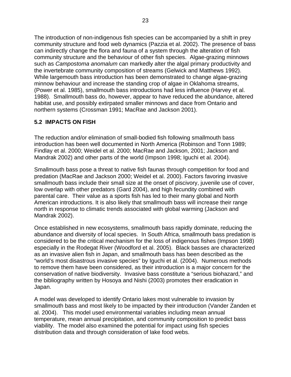<span id="page-30-0"></span>The introduction of non-indigenous fish species can be accompanied by a shift in prey community structure and food web dynamics (Pazzia et al. 2002). The presence of bass can indirectly change the flora and fauna of a system through the alteration of fish community structure and the behaviour of other fish species. Algae-grazing minnows such as *Campostoma anomalum* can markedly alter the algal primary productivity and the invertebrate community composition of streams (Gelwick and Matthews 1992). While largemouth bass introduction has been demonstrated to change algae-grazing minnow behaviour and increase the standing crop of algae in Oklahoma streams, (Power et al. 1985), smallmouth bass introductions had less influence (Harvey et al. 1988). Smallmouth bass do, however, appear to have reduced the abundance, altered habitat use, and possibly extirpated smaller minnows and dace from Ontario and northern systems (Crossman 1991; MacRae and Jackson 2001).

### **5.2 IMPACTS ON FISH**

The reduction and/or elimination of small-bodied fish following smallmouth bass introduction has been well documented in North America (Robinson and Tonn 1989; Findlay et al. 2000; Weidel et al. 2000; MacRae and Jackson, 2001; Jackson and Mandrak 2002) and other parts of the world (Impson 1998; Iguchi et al. 2004).

Smallmouth bass pose a threat to native fish faunas through competition for food and predation (MacRae and Jackson 2000; Weidel et al. 2000). Factors favoring invasive smallmouth bass include their small size at the onset of piscivory, juvenile use of cover, low overlap with other predators (Gard 2004), and high fecundity combined with parental care. Their value as a sports fish has led to their many global and North American introductions. It is also likely that smallmouth bass will increase their range north in response to climatic trends associated with global warming (Jackson and Mandrak 2002).

Once established in new ecosystems, smallmouth bass rapidly dominate, reducing the abundance and diversity of local species. In South Africa, smallmouth bass predation is considered to be the critical mechanism for the loss of indigenous fishes (Impson 1998) especially in the Rodegat River (Woodford et al. 2005). Black basses are characterized as an invasive alien fish in Japan, and smallmouth bass has been described as the "world's most disastrous invasive species" by Iguchi et al. (2004). Numerous methods to remove them have been considered, as their introduction is a major concern for the conservation of native biodiversity. Invasive bass constitute a "serious biohazard," and the bibliography written by Hosoya and Nishi (2003) promotes their eradication in Japan.

A model was developed to identify Ontario lakes most vulnerable to invasion by smallmouth bass and most likely to be impacted by their introduction (Vander Zanden et al. 2004). This model used environmental variables including mean annual temperature, mean annual precipitation, and community composition to predict bass viability. The model also examined the potential for impact using fish species distribution data and through consideration of lake food webs.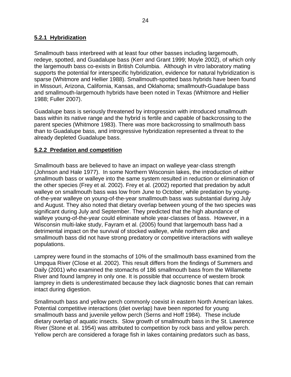#### <span id="page-31-0"></span>**5.2.1 Hybridization**

Smallmouth bass interbreed with at least four other basses including largemouth, redeye, spotted, and Guadalupe bass (Kerr and Grant 1999; Moyle 2002), of which only the largemouth bass co-exists in British Columbia. Although in vitro laboratory mating supports the potential for interspecific hybridization, evidence for natural hybridization is sparse (Whitmore and Hellier 1988). Smallmouth-spotted bass hybrids have been found in Missouri, Arizona, California, Kansas, and Oklahoma; smallmouth-Guadalupe bass and smallmouth-largemouth hybrids have been noted in Texas (Whitmore and Hellier 1988; Fuller 2007).

Guadalupe bass is seriously threatened by introgression with introduced smallmouth bass within its native range and the hybrid is fertile and capable of backcrossing to the parent species (Whitmore 1983). There was more backcrossing to smallmouth bass than to Guadalupe bass, and introgressive hybridization represented a threat to the already depleted Guadalupe bass.

#### **5.2.2 Predation and competition**

Smallmouth bass are believed to have an impact on walleye year-class strength (Johnson and Hale 1977). In some Northern Wisconsin lakes, the introduction of either smallmouth bass or walleye into the same system resulted in reduction or elimination of the other species (Frey et al. 2002). Frey et al. (2002) reported that predation by adult walleye on smallmouth bass was low from June to October, while predation by youngof-the-year walleye on young-of-the-year smallmouth bass was substantial during July and August. They also noted that dietary overlap between young of the two species was significant during July and September. They predicted that the high abundance of walleye young-of-the-year could eliminate whole year-classes of bass. However, in a Wisconsin multi-lake study, Fayram et al. (2005) found that largemouth bass had a detrimental impact on the survival of stocked walleye, while northern pike and smallmouth bass did not have strong predatory or competitive interactions with walleye populations.

Lamprey were found in the stomachs of 10% of the smallmouth bass examined from the Umpqua River (Close et al. 2002). This result differs from the findings of Summers and Daily (2001) who examined the stomachs of 186 smallmouth bass from the Willamette River and found lamprey in only one. It is possible that occurrence of western brook lamprey in diets is underestimated because they lack diagnostic bones that can remain intact during digestion.

Smallmouth bass and yellow perch commonly coexist in eastern North American lakes. Potential competitive interactions (diet overlap) have been reported for young smallmouth bass and juvenile yellow perch (Serns and Hoff 1984). These include dietary overlap of aquatic insects. Slow growth of smallmouth bass in the St. Lawrence River (Stone et al. 1954) was attributed to competition by rock bass and yellow perch. Yellow perch are considered a forage fish in lakes containing predators such as bass,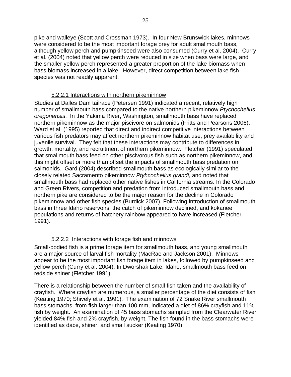<span id="page-32-0"></span>pike and walleye (Scott and Crossman 1973). In four New Brunswick lakes, minnows were considered to be the most important forage prey for adult smallmouth bass, although yellow perch and pumpkinseed were also consumed (Curry et al. 2004). Curry et al. (2004) noted that yellow perch were reduced in size when bass were large, and the smaller yellow perch represented a greater proportion of the lake biomass when bass biomass increased in a lake. However, direct competition between lake fish species was not readily apparent.

#### 5.2.2.1 Interactions with northern pikeminnow

Studies at Dalles Dam tailrace (Petersen 1991) indicated a recent, relatively high number of smallmouth bass compared to the native northern pikeminnow *Ptychocheilus oregonensis*. In the Yakima River, Washington, smallmouth bass have replaced northern pikeminnow as the major piscivore on salmonids (Fritts and Pearsons 2006). Ward et al. (1995) reported that direct and indirect competitive interactions between various fish predators may affect northern pikeminnow habitat use, prey availability and juvenile survival. They felt that these interactions may contribute to differences in growth, mortality, and recruitment of northern pikeminnow. Fletcher (1991) speculated that smallmouth bass feed on other piscivorous fish such as northern pikeminnow, and this might offset or more than offset the impacts of smallmouth bass predation on salmonids. Gard (2004) described smallmouth bass as ecologically similar to the closely related Sacramento pikeminnow *Ptyhcocheilus grandi*, and noted that smallmouth bass had replaced other native fishes in California streams. In the Colorado and Green Rivers, competition and predation from introduced smallmouth bass and northern pike are considered to be the major reason for the decline in Colorado pikeminnow and other fish species (Burdick 2007). Following introduction of smallmouth bass in three Idaho reservoirs, the catch of pikeminnow declined, and kokanee populations and returns of hatchery rainbow appeared to have increased (Fletcher 1991).

### 5.2.2.2 Interactions with forage fish and minnows

Small-bodied fish is a prime forage item for smallmouth bass, and young smallmouth are a major source of larval fish mortality (MacRae and Jackson 2001). Minnows appear to be the most important fish forage item in lakes, followed by pumpkinseed and yellow perch (Curry et al. 2004). In Dworshak Lake, Idaho, smallmouth bass feed on redside shiner (Fletcher 1991).

There is a relationship between the number of small fish taken and the availability of crayfish. Where crayfish are numerous, a smaller percentage of the diet consists of fish (Keating 1970; Shively et al. 1991). The examination of 72 Snake River smallmouth bass stomachs, from fish larger than 100 mm, indicated a diet of 86% crayfish and 11% fish by weight. An examination of 45 bass stomachs sampled from the Clearwater River yielded 84% fish and 2% crayfish, by weight. The fish found in the bass stomachs were identified as dace, shiner, and small sucker (Keating 1970).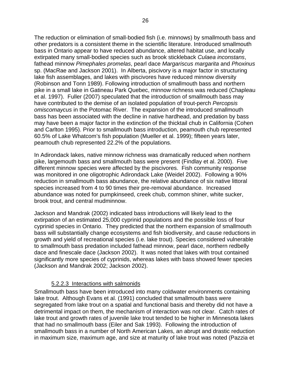<span id="page-33-0"></span>The reduction or elimination of small-bodied fish (i.e. minnows) by smallmouth bass and other predators is a consistent theme in the scientific literature. Introduced smallmouth bass in Ontario appear to have reduced abundance, altered habitat use, and locally extirpated many small-bodied species such as brook stickleback *Culaea inconstans*, fathead minnow *Pimephales promelas*, pearl dace *Margariscus margarita* and *Phoxinus* sp. (MacRae and Jackson 2001). In Alberta, piscivory is a major factor in structuring lake fish assemblages, and lakes with piscivores have reduced minnow diversity (Robinson and Tonn 1989). Following introduction of smallmouth bass and northern pike in a small lake in Gatineau Park Quebec, minnow richness was reduced (Chapleau et al. 1997). Fuller (2007) speculated that the introduction of smallmouth bass may have contributed to the demise of an isolated population of trout-perch *Percopsis omiscomaycus* in the Potomac River. The expansion of the introduced smallmouth bass has been associated with the decline in native hardhead, and predation by bass may have been a major factor in the extinction of the thicktail chub in California (Cohen and Carlton 1995). Prior to smallmouth bass introduction, peamouth chub represented 60.5% of Lake Whatcom's fish population (Mueller et al. 1999); fifteen years later, peamouth chub represented 22.2% of the populations.

In Adirondack lakes, native minnow richness was dramatically reduced when northern pike, largemouth bass and smallmouth bass were present (Findlay et al. 2000). Five different minnow species were affected by the piscivores. Fish community response was monitored in one oligotrophic Adirondack Lake (Weidel 2002). Following a 90% reduction in smallmouth bass abundance, the relative abundance of six native littoral species increased from 4 to 90 times their pre-removal abundance. Increased abundance was noted for pumpkinseed, creek chub, common shiner, white sucker, brook trout, and central mudminnow.

Jackson and Mandrak (2002) indicated bass introductions will likely lead to the extirpation of an estimated 25,000 cyprinid populations and the possible loss of four cyprinid species in Ontario. They predicted that the northern expansion of smallmouth bass will substantially change ecosystems and fish biodiversity, and cause reductions in growth and yield of recreational species (i.e. lake trout). Species considered vulnerable to smallmouth bass predation included fathead minnow, pearl dace, northern redbelly dace and finescale dace (Jackson 2002). It was noted that lakes with trout contained significantly more species of cyprinids, whereas lakes with bass showed fewer species (Jackson and Mandrak 2002; Jackson 2002).

#### 5.2.2.3 Interactions with salmonids

Smallmouth bass have been introduced into many coldwater environments containing lake trout. Although Evans et al. (1991) concluded that smallmouth bass were segregated from lake trout on a spatial and functional basis and thereby did not have a detrimental impact on them, the mechanism of interaction was not clear. Catch rates of lake trout and growth rates of juvenile lake trout tended to be higher in Minnesota lakes that had no smallmouth bass (Eiler and Sak 1993). Following the introduction of smallmouth bass in a number of North American Lakes, an abrupt and drastic reduction in maximum size, maximum age, and size at maturity of lake trout was noted (Pazzia et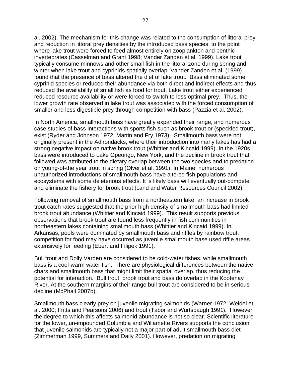al. 2002). The mechanism for this change was related to the consumption of littoral prey and reduction in littoral prey densities by the introduced bass species, to the point where lake trout were forced to feed almost entirely on zooplankton and benthic invertebrates (Casselman and Grant 1998; Vander Zanden et al. 1999). Lake trout typically consume minnows and other small fish in the littoral zone during spring and winter when lake trout and cyprinids spatially overlap. Vander Zanden et al. (1999) found that the presence of bass altered the diet of lake trout. Bass eliminated some cyprinid species or reduced their abundance via both direct and indirect effects and thus reduced the availability of small fish as food for trout. Lake trout either experienced reduced resource availability or were forced to switch to less optimal prey. Thus, the lower growth rate observed in lake trout was associated with the forced consumption of smaller and less digestible prey through competition with bass (Pazzia et al. 2002).

In North America, smallmouth bass have greatly expanded their range, and numerous case studies of bass interactions with sports fish such as brook trout or (speckled trout), exist (Ryder and Johnson 1972, Martin and Fry 1973). Smallmouth bass were not originally present in the Adirondacks, where their introduction into many lakes has had a strong negative impact on native brook trout (Whittier and Kincaid 1999). In the 1920s, bass were introduced to Lake Opeongo, New York, and the decline in brook trout that followed was attributed to the dietary overlap between the two species and to predation on young-of-the year trout in spring (Olver et al. 1991). In Maine, numerous unauthorized introductions of smallmouth bass have altered fish populations and ecosystems with some deleterious effects. It is likely bass will eventually out-compete and eliminate the fishery for brook trout (Land and Water Resources Council 2002).

Following removal of smallmouth bass from a northeastern lake, an increase in brook trout catch rates suggested that the prior high density of smallmouth bass had limited brook trout abundance (Whittier and Kincaid 1999). This result supports previous observations that brook trout are found less frequently in fish communities in northeastern lakes containing smallmouth bass (Whittier and Kincaid 1999). In Arkansas, pools were dominated by smallmouth bass and riffles by rainbow trout; competition for food may have occurred as juvenile smallmouth base used riffle areas extensively for feeding (Ebert and Filipek 1991).

Bull trout and Dolly Varden are considered to be cold-water fishes, while smallmouth bass is a cool-warm water fish. There are physiological differences between the native chars and smallmouth bass that might limit their spatial overlap, thus reducing the potential for interaction. Bull trout, brook trout and bass do overlap in the Kootenay River. At the southern margins of their range bull trout are considered to be in serious decline (McPhail 2007b).

Smallmouth bass clearly prey on juvenile migrating salmonids (Warner 1972; Weidel et al. 2000; Fritts and Pearsons 2006) and trout (Tabor and Wurtsbaugh 1991). However, the degree to which this affects salmonid abundance is not so clear. Scientific literature for the lower, un-impounded Columbia and Willamette Rivers supports the conclusion that juvenile salmonids are typically not a major part of adult smallmouth bass diet (Zimmerman 1999, Summers and Daily 2001). However, predation on migrating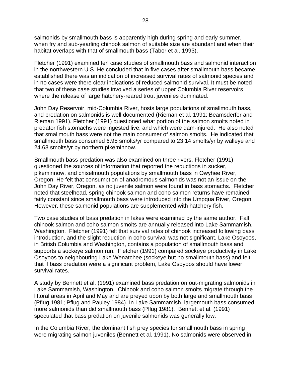salmonids by smallmouth bass is apparently high during spring and early summer, when fry and sub-yearling chinook salmon of suitable size are abundant and when their habitat overlaps with that of smallmouth bass (Tabor et al. 1993).

Fletcher (1991) examined ten case studies of smallmouth bass and salmonid interaction in the northwestern U.S. He concluded that in five cases after smallmouth bass became established there was an indication of increased survival rates of salmonid species and in no cases were there clear indications of reduced salmonid survival. It must be noted that two of these case studies involved a series of upper Columbia River reservoirs where the release of large hatchery-reared trout juveniles dominated.

John Day Reservoir, mid-Columbia River, hosts large populations of smallmouth bass, and predation on salmonids is well documented (Rieman et al. 1991; Beamsderfer and Rieman 1991). Fletcher (1991) questioned what portion of the salmon smolts noted in predator fish stomachs were ingested live, and which were dam-injured. He also noted that smallmouth bass were not the main consumer of salmon smolts. He indicated that smallmouth bass consumed 6.95 smolts/yr compared to 23.14 smolts/yr by walleye and 24.68 smolts/yr by northern pikeminnow.

Smallmouth bass predation was also examined on three rivers. Fletcher (1991) questioned the sources of information that reported the reductions in sucker, pikeminnow, and chiselmouth populations by smallmouth bass in Owyhee River, Oregon. He felt that consumption of anadromous salmonids was not an issue on the John Day River, Oregon, as no juvenile salmon were found in bass stomachs. Fletcher noted that steelhead, spring chinook salmon and coho salmon returns have remained fairly constant since smallmouth bass were introduced into the Umpqua River, Oregon. However, these salmonid populations are supplemented with hatchery fish.

Two case studies of bass predation in lakes were examined by the same author. Fall chinook salmon and coho salmon smolts are annually released into Lake Sammamish, Washington. Fletcher (1991) felt that survival rates of chinook increased following bass introduction, and the slight reduction in coho survival was not significant. Lake Osoyoos, in British Columbia and Washington, contains a population of smallmouth bass and supports a sockeye salmon run. Fletcher (1991) compared sockeye productivity in Lake Osoyoos to neighbouring Lake Wenatchee (sockeye but no smallmouth bass) and felt that if bass predation were a significant problem, Lake Osoyoos should have lower survival rates.

A study by Bennett et al. (1991) examined bass predation on out-migrating salmonids in Lake Sammamish, Washington. Chinook and coho salmon smolts migrate through the littoral areas in April and May and are preyed upon by both large and smallmouth bass (Pflug 1981; Pflug and Pauley 1984). In Lake Sammamish, largemouth bass consumed more salmonids than did smallmouth bass (Pflug 1981). Bennett et al. (1991) speculated that bass predation on juvenile salmonids was generally low.

In the Columbia River, the dominant fish prey species for smallmouth bass in spring were migrating salmon juveniles (Bennett et al. 1991). No salmonids were observed in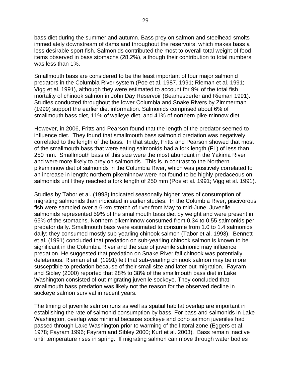bass diet during the summer and autumn. Bass prey on salmon and steelhead smolts immediately downstream of dams and throughout the reservoirs, which makes bass a less desirable sport fish. Salmonids contributed the most to overall total weight of food items observed in bass stomachs (28.2%), although their contribution to total numbers was less than 1%.

Smallmouth bass are considered to be the least important of four major salmonid predators in the Columbia River system (Poe et al. 1987, 1991; Rieman et al. 1991; Vigg et al. 1991), although they were estimated to account for 9% of the total fish mortality of chinook salmon in John Day Reservoir (Beamesderfer and Rieman 1991). Studies conducted throughout the lower Columbia and Snake Rivers by Zimmerman (1999) support the earlier diet information. Salmonids comprised about 6% of smallmouth bass diet, 11% of walleye diet, and 41% of northern pike-minnow diet.

However, in 2006, Fritts and Pearson found that the length of the predator seemed to influence diet. They found that smallmouth bass salmonid predation was negatively correlated to the length of the bass. In that study, Fritts and Pearson showed that most of the smallmouth bass that were eating salmonids had a fork length (FL) of less than 250 mm. Smallmouth bass of this size were the most abundant in the Yakima River and were more likely to prey on salmonids. This is in contrast to the Northern pikeminnow diet of salmonids in the Columbia River, which was positively correlated to an increase in length; northern pikeminnow were not found to be highly predaceous on salmonids until they reached a fork length of 250 mm (Poe et al. 1991; Vigg et al. 1991).

Studies by Tabor et al. (1993) indicated seasonally higher rates of consumption of migrating salmonids than indicated in earlier studies. In the Columbia River, piscivorous fish were sampled over a 6-km stretch of river from May to mid-June. Juvenile salmonids represented 59% of the smallmouth bass diet by weight and were present in 65% of the stomachs. Northern pikeminnow consumed from 0.34 to 0.55 salmonids per predator daily. Smallmouth bass were estimated to consume from 1.0 to 1.4 salmonids daily; they consumed mostly sub-yearling chinook salmon (Tabor et al. 1993). Bennett et al. (1991) concluded that predation on sub-yearling chinook salmon is known to be significant in the Columbia River and the size of juvenile salmonid may influence predation. He suggested that predation on Snake River fall chinook was potentially deleterious. Rieman et al. (1991) felt that sub-yearling chinook salmon may be more susceptible to predation because of their small size and later out-migration. Fayram and Sibley (2000) reported that 28% to 38% of the smallmouth bass diet in Lake Washington consisted of out-migrating juvenile sockeye. They concluded that smallmouth bass predation was likely not the reason for the observed decline in sockeye salmon survival in recent years.

The timing of juvenile salmon runs as well as spatial habitat overlap are important in establishing the rate of salmonid consumption by bass. For bass and salmonids in Lake Washington, overlap was minimal because sockeye and coho salmon juveniles had passed through Lake Washington prior to warming of the littoral zone (Eggers et al. 1978; Fayram 1996; Fayram and Sibley 2000; Kurt et al. 2003). Bass remain inactive until temperature rises in spring. If migrating salmon can move through water bodies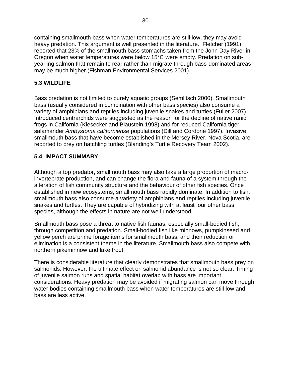<span id="page-37-0"></span>containing smallmouth bass when water temperatures are still low, they may avoid heavy predation. This argument is well presented in the literature. Fletcher (1991) reported that 23% of the smallmouth bass stomachs taken from the John Day River in Oregon when water temperatures were below 15°C were empty. Predation on subyearling salmon that remain to rear rather than migrate through bass-dominated areas may be much higher (Fishman Environmental Services 2001).

### **5.3 WILDLIFE**

Bass predation is not limited to purely aquatic groups (Semlitsch 2000). Smallmouth bass (usually considered in combination with other bass species) also consume a variety of amphibians and reptiles including juvenile snakes and turtles (Fuller 2007). Introduced centrarchids were suggested as the reason for the decline of native ranid frogs in California (Kiesecker and Blaustein 1998) and for reduced California tiger salamander *Ambystoma californiense* populations (Dill and Cordone 1997). Invasive smallmouth bass that have become established in the Mersey River, Nova Scotia, are reported to prey on hatchling turtles (Blanding's Turtle Recovery Team 2002).

### **5.4 IMPACT SUMMARY**

Although a top predator, smallmouth bass may also take a large proportion of macroinvertebrate production, and can change the flora and fauna of a system through the alteration of fish community structure and the behaviour of other fish species. Once established in new ecosystems, smallmouth bass rapidly dominate. In addition to fish, smallmouth bass also consume a variety of amphibians and reptiles including juvenile snakes and turtles. They are capable of hybridizing with at least four other bass species, although the effects in nature are not well understood.

Smallmouth bass pose a threat to native fish faunas, especially small-bodied fish, through competition and predation. Small-bodied fish like minnows, pumpkinseed and yellow perch are prime forage items for smallmouth bass, and their reduction or elimination is a consistent theme in the literature. Smallmouth bass also compete with northern pikeminnow and lake trout.

There is considerable literature that clearly demonstrates that smallmouth bass prey on salmonids. However, the ultimate effect on salmonid abundance is not so clear. Timing of juvenile salmon runs and spatial habitat overlap with bass are important considerations. Heavy predation may be avoided if migrating salmon can move through water bodies containing smallmouth bass when water temperatures are still low and bass are less active.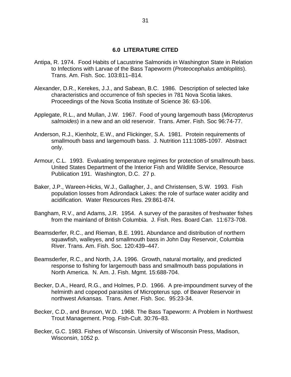#### **6.0 LITERATURE CITED**

- <span id="page-38-0"></span>Antipa, R. 1974. Food Habits of Lacustrine Salmonids in Washington State in Relation to Infections with Larvae of the Bass Tapeworm (*Proteocephalus ambloplitis*). Trans. Am. Fish. Soc. 103:811–814.
- Alexander, D.R., Kerekes, J.J., and Sabean, B.C. 1986. Description of selected lake characteristics and occurrence of fish species in 781 Nova Scotia lakes. Proceedings of the Nova Scotia Institute of Science 36: 63-106.
- Applegate, R.L., and Mullan, J.W. 1967. Food of young largemouth bass (*Micropterus salmoides*) in a new and an old reservoir. Trans. Amer. Fish. Soc 96:74-77.
- Anderson, R.J., Kienholz, E.W., and Flickinger, S.A. 1981. Protein requirements of smallmouth bass and largemouth bass. J. Nutrition 111:1085-1097. Abstract only.
- Armour, C.L. 1993. Evaluating temperature regimes for protection of smallmouth bass. United States Department of the Interior Fish and Wildlife Service, Resource Publication 191. Washington, D.C. 27 p.
- Baker, J.P., Wareen-Hicks, W.J., Gallagher, J., and Christensen, S.W. 1993. Fish population losses from Adirondack Lakes: the role of surface water acidity and acidification. Water Resources Res. 29:861-874.
- Bangham, R.V., and Adams, J.R. 1954. A survey of the parasites of freshwater fishes from the mainland of British Columbia. J. Fish. Res. Board Can. 11:673-708.
- Beamsderfer, R.C., and Rieman, B.E. 1991. Abundance and distribution of northern squawfish, walleyes, and smallmouth bass in John Day Reservoir, Columbia River. Trans. Am. Fish. Soc. 120:439–447.
- Beamsderfer, R.C., and North, J.A. 1996. Growth, natural mortality, and predicted response to fishing for largemouth bass and smallmouth bass populations in North America. N. Am. J. Fish. Mgmt. 15:688-704.
- Becker, D.A., Heard, R.G., and Holmes, P.D. 1966. A pre-impoundment survey of the helminth and copepod parasites of Micropterus spp. of Beaver Reservoir in northwest Arkansas. Trans. Amer. Fish. Soc. 95:23-34.
- Becker, C.D., and Brunson, W.D. 1968. The Bass Tapeworm: A Problem in Northwest Trout Management. Prog. Fish-Cult. 30:76–83.
- Becker, G.C. 1983. Fishes of Wisconsin. University of Wisconsin Press, Madison, Wisconsin, 1052 p.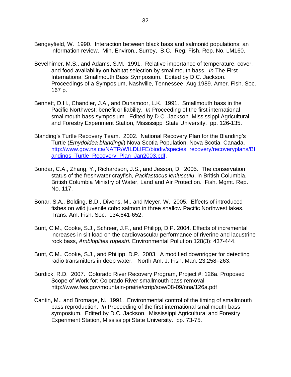- Bengeyfield, W. 1990. Interaction between black bass and salmonid populations: an information review. Min. Environ., Surrey, B.C. Reg. Fish. Rep. No. LM160.
- Bevelhimer, M.S., and Adams, S.M. 1991. Relative importance of temperature, cover, and food availability on habitat selection by smallmouth bass. *In* The First International Smallmouth Bass Symposium. Edited by D.C. Jackson. Proceedings of a Symposium, Nashville, Tennessee, Aug 1989. Amer. Fish. Soc. 167 p.
- Bennett, D.H., Chandler, J.A., and Dunsmoor, L.K. 1991. Smallmouth bass in the Pacific Northwest: benefit or liability. *In* Proceeding of the first international smallmouth bass symposium. Edited by D.C. Jackson. Mississippi Agricultural and Forestry Experiment Station, Mississippi State University. pp. 126-135.
- Blanding's Turtle Recovery Team. 2002. National Recovery Plan for the Blanding's Turtle (*Emydoidea blandingii*) Nova Scotia Population. Nova Scotia, Canada. [http://www.gov.ns.ca/NATR/WILDLIFE/biodiv/species\\_recovery/recoveryplans/Bl](http://www.gov.ns.ca/NATR/WILDLIFE/biodiv/species_recovery/recoveryplans/Blandings_Turtle_Recovery_Plan_Jan2003.pdf) [andings\\_Turtle\\_Recovery\\_Plan\\_Jan2003.pdf](http://www.gov.ns.ca/NATR/WILDLIFE/biodiv/species_recovery/recoveryplans/Blandings_Turtle_Recovery_Plan_Jan2003.pdf).
- Bondar, C.A., Zhang, Y., Richardson, J.S., and Jesson, D. 2005. The conservation status of the freshwater crayfish, *Pacifastacus leniusculu*, in British Columbia. British Columbia Ministry of Water, Land and Air Protection. Fish. Mgmt. Rep. No. 117.
- Bonar, S.A., Bolding, B.D., Divens, M., and Meyer, W. 2005. Effects of introduced fishes on wild juvenile coho salmon in three shallow Pacific Northwest lakes. Trans. Am. Fish. Soc. 134:641-652.
- Bunt, C.M., Cooke, S.J., Schreer, J.F., and Philipp, D.P. 2004. Effects of incremental increases in silt load on the cardiovascular performance of riverine and lacustrine rock bass, *Ambloplites rupestri.* [Environmental Pollution](http://www.sciencedirect.com/science/journal/02697491) 128(3): 437-444.
- Bunt, C.M., Cooke, S.J., and Philipp, D.P. 2003. A modified downrigger for detecting radio transmitters in deep water. North Am. J. Fish. Man. 23:258–263.
- Burdick, R.D. 2007. Colorado River Recovery Program, Project #: 126a. Proposed Scope of Work for: Colorado River smallmouth bass removal <http://www.fws.gov/mountain-prairie/crrip/sow/08-09/nna/126a.pdf>
- Cantin, M., and Bromage, N. 1991. Environmental control of the timing of smallmouth bass reproduction. *In* Proceeding of the first international smallmouth bass symposium. Edited by D.C. Jackson. Mississippi Agricultural and Forestry Experiment Station, Mississippi State University. pp. 73-75.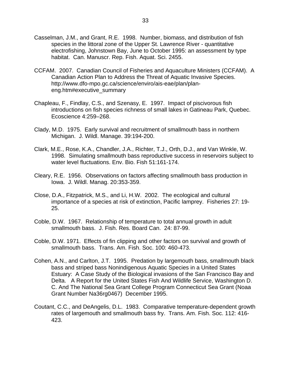- Casselman, J.M., and Grant, R.E. 1998. Number, biomass, and distribution of fish species in the littoral zone of the Upper St. Lawrence River - quantitative electrofishing, Johnstown Bay, June to October 1995: an assessment by type habitat. Can. Manuscr. Rep. Fish. Aquat. Sci. 2455.
- CCFAM. 2007. Canadian Council of Fisheries and Aquaculture Ministers (CCFAM). A Canadian Action Plan to Address the Threat of Aquatic Invasive Species. http://www.dfo-mpo.gc.ca/science/enviro/ais-eae/plan/planeng.htm#executive\_summary
- Chapleau, F., Findlay, C.S., and Szenasy, E. 1997. Impact of piscivorous fish introductions on fish species richness of small lakes in Gatineau Park, Quebec. Ecoscience 4:259–268.
- Clady, M.D. 1975. Early survival and recruitment of smallmouth bass in northern Michigan. J. Wildl. Manage. 39:194-200.
- Clark, M.E., Rose, K.A., Chandler, J.A., Richter, T.J., Orth, D.J., and Van Winkle, W. 1998. Simulating smallmouth bass reproductive success in reservoirs subject to water level fluctuations. Env. Bio. Fish 51:161-174.
- Cleary, R.E. 1956. Observations on factors affecting smallmouth bass production in Iowa. J. Wildl. Manag. 20:353-359.
- Close, D.A., Fitzpatrick, M.S., and Li, H.W. 2002. The ecological and cultural importance of a species at risk of extinction, Pacific lamprey. Fisheries 27: 19- 25.
- Coble, D.W. 1967. Relationship of temperature to total annual growth in adult smallmouth bass. J. Fish. Res. Board Can. 24: 87-99.
- Coble, D.W. 1971. Effects of fin clipping and other factors on survival and growth of smallmouth bass. Trans. Am. Fish. Soc. 100: 460-473.
- Cohen, A.N., and Carlton, J.T. 1995. Predation by largemouth bass, smallmouth black bass and striped bass Nonindigenous Aquatic Species in a United States Estuary: A Case Study of the Biological invasions of the San Francisco Bay and Delta. A Report for the United States Fish And Wildlife Service, Washington D. C. And The National Sea Grant College Program Connecticut Sea Grant (Noaa Grant Number Na36rg0467) December 1995.
- Coutant, C.C., and DeAngelis, D.L. 1983. Comparative temperature-dependent growth rates of largemouth and smallmouth bass fry. Trans. Am. Fish. Soc. 112: 416- 423.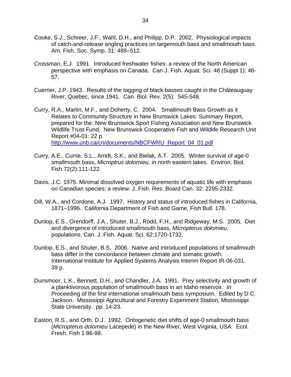- Cooke, S.J., Schreer, J.F., Wahl, D.H., and Philipp, D.P. 2002. Physiological impacts of catch-and-release angling practices on largemouth bass and smallmouth bass. Am. Fish. Soc. Symp. 31: 489–512.
- Crossman, E.J. 1991. Introduced freshwater fishes: a review of the North American perspective with emphasis on Canada. Can J. Fish. Aquat. Sci. 48 (Suppl 1): 46- 57.
- Cuerrier, J.P. 1943. Results of the tagging of black basses caught in the Châteauguay River, Quebec, since 1941. Can. Biol. Rev. 2(5): 545-548.
- Curry, R.A., Martin, M.F., and Doherty, C. 2004. Smallmouth Bass Growth as it Relates to Community Structure in New Brunswick Lakes: Summary Report, prepared for the: New Brunswick Sport Fishing Association and New Brunswick Wildlife Trust Fund. New Brunswick Cooperative Fish and Wildlife Research Unit Report #04-01: 22 p. http://www.unb.ca/cri/documents/NBCFWRU\_Report\_04\_01.pdf
- Curry, A.E., Currie, S.L., Arndt, S.K., and Bielak, A.T. 2005. Winter survival of age-0 smallmouth bass, *Microptrus dolomieu*, in north eastern lakes. Environ. Biol. Fish 72(2):111-122.
- Davis, J.C. 1975. Minimal dissolved oxygen requirements of aquatic life with emphasis on Canadian species: a review. J. Fish. Res. Board Can. 32: 2295-2332.
- Dill, W.A., and Cordone, A.J. 1997. History and status of introduced fishes in California, 1871–1996. California Department of Fish and Game, Fish Bull. 178.
- Dunlop, E.S., Orendorff, J.A., Shuter, B.J., Rodd, F.H., and Ridgeway, M.S. 2005. Diet and divergence of introduced smallmouth bass, *Micropterus dolomieu*, populations. Can. J. Fish. Aquat. Sci. 62:1720-1732.
- Dunlop, E.S., and Shuter, B.S. 2006. Native and introduced populations of smallmouth bass differ in the concordance between climate and somatic growth. International Institute for Applied Systems Analysis Interim Report IR-06-031. 39 p.
- Dunsmoor, L.K., Bennett, D.H., and Chandler, J.A. 1991. Prey selectivity and growth of a planktivorous population of smallmouth bass in an Idaho reservoir. *In* Proceeding of the first international smallmouth bass symposium. Edited by D.C. Jackson. Mississippi Agricultural and Forestry Experiment Station, Mississippi State University. pp. 14-23.
- Easton, R.S., and Orth, D.J. 1992. Ontogenetic diet shifts of age-0 smallmouth bass (*Micropterus dolomieu* Lacepede) in the New River, West Virginia, USA. Ecol. Fresh. Fish 1:86-98.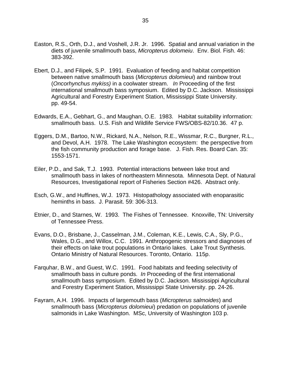- Easton, R.S., Orth, D.J., and Voshell, J.R. Jr. 1996. Spatial and annual variation in the diets of juvenile smallmouth bass, *Micropterus dolomeiu*. Env. Biol. Fish. 46: 383-392.
- Ebert, D.J., and Filipek, S.P. 1991. Evaluation of feeding and habitat competition between native smallmouth bass (*Micropterus dolomieui*) and rainbow trout (*Oncorhynchus mykiss)* in a coolwater stream. *In* Proceeding of the first international smallmouth bass symposium. Edited by D.C. Jackson. Mississippi Agricultural and Forestry Experiment Station, Mississippi State University. pp. 49-54.
- Edwards, E.A., Gebhart, G., and Maughan, O.E. 1983. Habitat suitability information: smallmouth bass. U.S. Fish and Wildlife Service FWS/OBS-82/10.36. 47 p.
- Eggers, D.M., Bartoo, N.W., Rickard, N.A., Nelson, R.E., Wissmar, R.C., Burgner, R.L., and Devol, A.H. 1978. The Lake Washington ecosystem: the perspective from the fish community production and forage base. J. Fish. Res. Board Can. 35: 1553-1571.
- Eiler, P.D., and Sak, T.J. 1993. Potential interactions between lake trout and smallmouth bass in lakes of northeastern Minnesota. Minnesota Dept. of Natural Resources, Investigational report of Fisheries Section #426. Abstract only.
- Esch, G.W., and Huffines, W.J. 1973. Histopathology associated with enoparasitic heminths in bass. J. Parasit. 59: 306-313.
- Etnier, D., and Starnes, W. 1993. The Fishes of Tennessee. Knoxville, TN: University of Tennessee Press.
- Evans, D.O., Brisbane, J., Casselman, J.M., Coleman, K.E., Lewis, C.A., Sly, P.G., Wales, D.G., and Willox, C.C. 1991. Anthropogenic stressors and diagnoses of their effects on lake trout populations in Ontario lakes. Lake Trout Synthesis. Ontario Ministry of Natural Resources. Toronto, Ontario. 115p.
- Farquhar, B.W., and Guest, W.C. 1991. Food habitats and feeding selectivity of smallmouth bass in culture ponds. *In* Proceeding of the first international smallmouth bass symposium. Edited by D.C. Jackson. Mississippi Agricultural and Forestry Experiment Station, Mississippi State University. pp. 24-26.
- Fayram, A.H. 1996. Impacts of largemouth bass (*Micropterus salmoides*) and smallmouth bass (*Micropterus dolomieui*) predation on populations of juvenile salmonids in Lake Washington. MSc, University of Washington 103 p.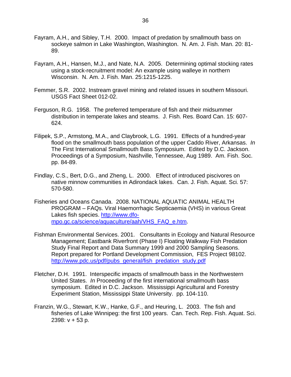- Fayram, A.H., and Sibley, T.H. 2000. Impact of predation by smallmouth bass on sockeye salmon in Lake Washington, Washington. N. Am. J. Fish. Man. 20: 81- 89.
- Fayram, A.H., Hansen, M.J., and Nate, N.A. 2005. Determining optimal stocking rates using a stock-recruitment model: An example using walleye in northern Wisconsin. N. Am. J. Fish. Man. 25:1215-1225.
- Femmer, S.R. 2002. Instream gravel mining and related issues in southern Missouri. USGS Fact Sheet 012-02.
- Ferguson, R.G. 1958. The preferred temperature of fish and their midsummer distribution in temperate lakes and steams. J. Fish. Res. Board Can. 15: 607- 624.
- Filipek, S.P., Armstong, M.A., and Claybrook, L.G. 1991. Effects of a hundred-year flood on the smallmouth bass population of the upper Caddo River, Arkansas. *In* The First International Smallmouth Bass Symposium. Edited by D.C. Jackson. Proceedings of a Symposium, Nashville, Tennessee, Aug 1989. Am. Fish. Soc. pp. 84-89.
- Findlay, C.S., Bert, D.G., and Zheng, L. 2000. Effect of introduced piscivores on native minnow communities in Adirondack lakes. Can. J. Fish. Aquat. Sci. 57: 570-580.
- Fisheries and Oceans Canada. 2008. NATIONAL AQUATIC ANIMAL HEALTH PROGRAM – FAQs. Viral Haemorrhagic Septicaemia (VHS) in various Great Lakes fish species. [http://www.dfo](http://www.dfo-mpo.gc.ca/science/aquaculture/aah/VHS_FAQ_e.htm)[mpo.gc.ca/science/aquaculture/aah/VHS\\_FAQ\\_e.htm.](http://www.dfo-mpo.gc.ca/science/aquaculture/aah/VHS_FAQ_e.htm)
- Fishman Environmental Services. 2001. Consultants in Ecology and Natural Resource Management; Eastbank Riverfront (Phase I) Floating Walkway Fish Predation Study Final Report and Data Summary 1999 and 2000 Sampling Seasons. Report prepared for Portland Development Commission, FES Project 98102. [http://www.pdc.us/pdf/pubs\\_general/fish\\_predation\\_study.pdf](http://www.pdc.us/pdf/pubs_general/fish_predation_study.pdf)
- Fletcher, D.H. 1991. Interspecific impacts of smallmouth bass in the Northwestern United States. *In* Proceeding of the first international smallmouth bass symposium. Edited in D.C. Jackson. Mississippi Agricultural and Forestry Experiment Station, Mississippi State University. pp. 104-110.
- Franzin, W.G., Stewart, K.W., Hanke, G.F., and Heuring, L. 2003. The fish and fisheries of Lake Winnipeg: the first 100 years. Can. Tech. Rep. Fish. Aquat. Sci. 2398: v + 53 p.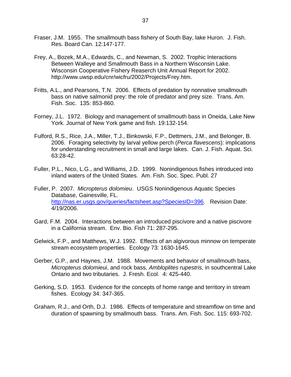- Fraser, J.M. 1955. The smallmouth bass fishery of South Bay, lake Huron. J. Fish. Res. Board Can. 12:147-177.
- Frey, A., Bozek, M.A., Edwards, C., and Newman, S. 2002. Trophic Interactions Between Walleye and Smallmouth Bass in a Northern Wisconsin Lake. Wisconsin Cooperative Fishery Reaserch Unit Annual Report for 2002. [http://www.uwsp.edu/cnr/wicfru/2002/Projects/Frey.htm.](http://www.uwsp.edu/cnr/wicfru/2002/Projects/Frey.htm)
- Fritts, A.L., and Pearsons, T.N. 2006. Effects of predation by nonnative smallmouth bass on native salmonid prey: the role of predator and prey size. Trans. Am. Fish. Soc. 135: 853-860.
- Forney, J.L. 1972. Biology and management of smallmouth bass in Oneida, Lake New York. Journal of New York game and fish. 19:132-154.
- Fulford, R.S., Rice, J.A., Miller, T.J., Binkowski, F.P., Dettmers, J.M., and Belonger, B. 2006. Foraging selectivity by larval yellow perch (*Perca flavescens*): implications for understanding recruitment in small and large lakes. Can. J. Fish. Aquat. Sci. 63:28-42.
- Fuller, P.L., Nico, L.G., and Williams, J.D. 1999. Nonindigenous fishes introduced into inland waters of the United States. Am. Fish. Soc. Spec. Publ. 27
- Fuller, P. 2007. *Micropterus dolomieu*. USGS Nonindigenous Aquatic Species Database, Gainesville, FL. http://nas.er.usgs.gov/gueries/factsheet.asp?SpeciesID=396. Revision Date: 4/19/2006.
- Gard, F.M. 2004. Interactions between an introduced piscivore and a native piscivore in a California stream. Env. Bio. Fish 71: 287-295.
- Gelwick, F.P., and Matthews, W.J. 1992. Effects of an algivorous minnow on temperate stream ecosystem properties. Ecology 73: 1630-1645.
- Gerber, G.P., and Haynes, J.M. 1988. Movements and behavior of smallmouth bass, *Micropterus dolomieui*, and rock bass, *Ambloplites rupestris*, in southcentral Lake Ontario and two tributaries. J. Fresh. Ecol. 4: 425-440.
- Gerking, S.D. 1953. Evidence for the concepts of home range and territory in stream fishes. Ecology 34: 347-365.
- Graham, R.J., and Orth, D.J. 1986. Effects of temperature and streamflow on time and duration of spawning by smallmouth bass. Trans. Am. Fish. Soc. 115: 693-702.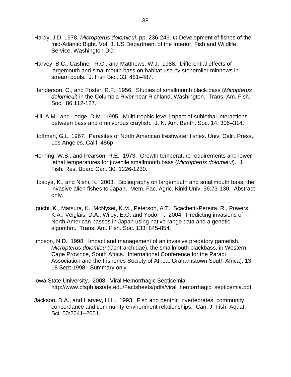- Hardy, J.D. 1978. *Micropterus dolomieui*. pp. 236-246. *In* Development of fishes of the mid-Atlantic Bight. Vol. 3. US Department of the Interior, Fish and Wildlife Service, Washington DC.
- Harvey, B.C., Cashner, R.C., and Matthews, W.J. 1988. Differential effects of largemouth and smallmouth bass on habitat use by stoneroller minnows in stream pools. J. Fish Biol. 33: 481–487.
- Henderson, C., and Foster, R.F. 1956. Studies of smallmouth black bass (*Micopterus dolomieui*) in the Columbia River near Richland, Washington. Trans. Am. Fish. Soc. 86:112-127.
- Hill, A.M., and Lodge, D.M. 1995. Multi-trophic-level impact of sublethal interactions between bass and omnivorous crayfish. J. N. Am. Benth. Soc. 14: 306–314.
- Hoffman, G.L. 1967. Parasites of North American freshwater fishes. Univ. Calif. Press, Los Angeles, Calif. 486p
- Horning, W.B., and Pearson, R.E. 1973. Growth temperature requirements and lower lethal temperatures for juvenile smallmouth bass (*Micropterus dolomieui*). J. Fish. Res. Board Can. 30: 1226-1230.
- Hosoya, K., and Nishi, K. 2003. Bibliography on largemouth and smallmouth bass, the invasive alien fishes to Japan. Mem. Fac. Agric. Kinki Univ. 36:73-130. Abstract only.
- Iguchi, K., Matsura, K., McNyset, K.M., Peterson, A.T., Scachetti-Pereira, R., Powers, K.A., Veiglais, D.A., Wiley, E.O. and Yodo, T. 2004. Predicting invasions of North American basses in Japan using native range data and a genetic algorithm. Trans. Am. Fish. Soc. 133: 845-854.
- Impson, N.D. 1998. Impact and management of an invasive predatory gamefish, *Micropterus dolomieu* (Centrarchidae), the smallmouth blackbass, in Western Cape Province, South Africa. International Conference for the Paradi Association and the Fisheries Society of Africa, Grahamstown South Africa), 13- 18 Sept 1998. Summary only.
- Iowa State University. 2008. Viral Hemorrhagic Septicemia. [http://www.cfsph.iastate.edu/Factsheets/pdfs/viral\\_hemorrhagic\\_septicemia.pdf](http://www.cfsph.iastate.edu/Factsheets/pdfs/viral_hemorrhagic_septicemia.pdf)
- Jackson, D.A., and Harvey, H.H. 1993. Fish and benthic invertebrates: community concordance and community-environment relationships. Can. J. Fish. Aquat. Sci. 50:2641–2651.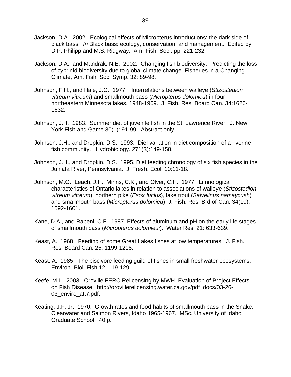- Jackson, D.A. 2002. Ecological effects of Micropterus introductions: the dark side of black bass. *In* Black bass: ecology, conservation, and management. Edited by D.P. Philipp and M.S. Ridgway. Am. Fish. Soc., pp. 221-232.
- Jackson, D.A., and Mandrak, N.E. 2002. Changing fish biodiversity: Predicting the loss of cyprinid biodiversity due to global climate change. Fisheries in a Changing Climate, Am. Fish. Soc. Symp. 32: 89-98.
- Johnson, F.H., and Hale, J.G. 1977. Interrelations between walleye (*Stizostedion vitreum vitreum*) and smallmouth bass (*Micropterus dolomieu*) in four northeastern Minnesota lakes, 1948-1969. J. Fish. Res. Board Can. 34:1626- 1632.
- Johnson, J.H. 1983. Summer diet of juvenile fish in the St. Lawrence River. J. New York Fish and Game 30(1): 91-99. Abstract only.
- Johnson, J.H., and Dropkin, D.S. 1993. Diel variation in diet composition of a riverine fish community. Hydrobiology. 271(3):149-158.
- Johnson, J.H., and Dropkin, D.S. 1995. Diel feeding chronology of six fish species in the Juniata River, Pennsylvania. J. Fresh. Ecol. 10:11-18.
- Johnson, M.G., Leach, J.H., Minns, C.K., and Olver, C.H. 1977. Limnological characteristics of Ontario lakes in relation to associations of walleye (*Stizostedion vitreum vitreum*), northern pike (*Esox lucius*), lake trout (*Salvelinus namaycush*) and smallmouth bass (*Micropterus dolomieu*). J. Fish. Res. Brd of Can. 34(10): 1592-1601.
- Kane, D.A., and Rabeni, C.F. 1987. Effects of aluminum and pH on the early life stages of smallmouth bass (*Micropterus dolomieui*). Water Res. 21: 633-639.
- Keast, A. 1968. Feeding of some Great Lakes fishes at low temperatures. J. Fish. Res. Board Can. 25: 1199-1218.
- Keast, A. 1985. The piscivore feeding guild of fishes in small freshwater ecosystems. Environ. Biol. Fish 12: 119-129.
- Keefe, M.L. 2003. Oroville FERC Relicensing by MWH, Evaluation of Project Effects on Fish Disease. [http://orovillerelicensing.water.ca.gov/pdf\\_docs/03-26-](http://orovillerelicensing.water.ca.gov/pdf_docs/03-26-03_enviro_att7.pdf) 03 enviro att7.pdf.
- Keating, J.F. Jr. 1970. Growth rates and food habits of smallmouth bass in the Snake, Clearwater and Salmon Rivers, Idaho 1965-1967. MSc. University of Idaho Graduate School. 40 p.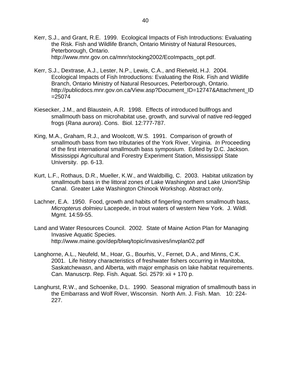- Kerr, S.J., and Grant, R.E. 1999. Ecological Impacts of Fish Introductions: Evaluating the Risk. Fish and Wildlife Branch, Ontario Ministry of Natural Resources, Peterborough, Ontario. [http://www.mnr.gov.on.ca/mnr/stocking2002/EcoImpacts\\_opt.pdf.](http://www.mnr.gov.on.ca/mnr/stocking2002/EcoImpacts_opt.pdf)
- Kerr, S.J., Dextrase, A.J., Lester, N.P., Lewis, C.A., and Rietveld, H.J. 2004. Ecological Impacts of Fish Introductions: Evaluating the Risk. Fish and Wildlife Branch, Ontario Ministry of Natural Resources, Peterborough, Ontario. http://publicdocs.mnr.gov.on.ca/View.asp?Document\_ID=12747&Attachment\_ID  $=25074$
- Kiesecker, J.M., and Blaustein, A.R. 1998. Effects of introduced bullfrogs and smallmouth bass on microhabitat use, growth, and survival of native red-legged frogs (*Rana aurora*). Cons. Biol. 12:777-787.
- King, M.A., Graham, R.J., and Woolcott, W.S. 1991. Comparison of growth of smallmouth bass from two tributaries of the York River, Virginia. *In* Proceeding of the first international smallmouth bass symposium. Edited by D.C. Jackson. Mississippi Agricultural and Forestry Experiment Station, Mississippi State University. pp. 6-13.
- Kurt, L.F., Rothaus, D.R., Mueller, K.W., and Waldbillig, C. 2003. Habitat utilization by smallmouth bass in the littoral zones of Lake Washington and Lake Union/Ship Canal. Greater Lake Washington Chinook Workshop. Abstract only.
- Lachner, E.A. 1950. Food, growth and habits of fingerling northern smallmouth bass, *Micropterus dolmieu* Lacepede, in trout waters of western New York. J. Wildl. Mgmt. 14:59-55.
- Land and Water Resources Council. 2002. State of Maine Action Plan for Managing Invasive Aquatic Species. <http://www.maine.gov/dep/blwq/topic/invasives/invplan02.pdf>
- Langhorne, A.L., Neufeld, M., Hoar, G., Bourhis, V., Fernet, D.A., and Minns, C.K. 2001. Life history characteristics of freshwater fishers occurring in Manitoba, Saskatchewasn, and Alberta, with major emphasis on lake habitat requirements. Can. Manuscrp. Rep. Fish. Aquat. Sci. 2579: xii + 170 p.
- Langhurst, R.W., and Schoenike, D.L. 1990. Seasonal migration of smallmouth bass in the Embarrass and Wolf River, Wisconsin. North Am. J. Fish. Man. 10: 224- 227.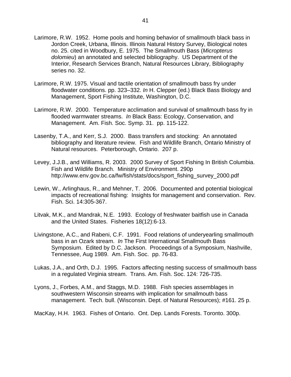- Larimore, R.W. 1952. Home pools and homing behavior of smallmouth black bass in Jordon Creek, Urbana, Illinois. Illinois Natural History Survey, Biological notes no. 25. cited in Woodbury, E. 1975. The Smallmouth Bass (*Micropterus dolomieu*) an annotated and selected bibliography. US Department of the Interior, Research Services Branch, Natural Resources Library, Bibliography series no. 32.
- Larimore, R.W. 1975. Visual and tactile orientation of smallmouth bass fry under floodwater conditions. pp. 323–332. *In* H. Clepper (ed.) Black Bass Biology and Management, Sport Fishing Institute, Washington, D.C.
- Larimore, R.W. 2000. Temperature acclimation and survival of smallmouth bass fry in flooded warmwater streams. *In* Black Bass: Ecology, Conservation, and Management. Am. Fish. Soc. Symp. 31. pp. 115-122.
- Lasenby, T.A., and Kerr, S.J. 2000. Bass transfers and stocking: An annotated bibliography and literature review. Fish and Wildlife Branch, Ontario Ministry of Natural resources. Peterborough, Ontario. 207 p.
- Levey, J.J.B., and Williams, R. 2003. 2000 Survey of Sport Fishing In British Columbia. Fish and Wildlife Branch. Ministry of Environment. 290p http://www.env.gov.bc.ca/fw/fish/stats/docs/sport\_fishing\_survey\_2000.pdf
- Lewin, W., Arlinghaus, R., and Mehner, T. 2006. Documented and potential biological impacts of recreational fishing: Insights for management and conservation. Rev. Fish. Sci. 14:305-367.
- Litvak, M.K., and Mandrak, N.E. 1993. Ecology of freshwater baitfish use in Canada and the United States. Fisheries 18(12):6-13.
- Livingstone, A.C., and Rabeni, C.F. 1991. Food relations of underyearling smallmouth bass in an Ozark stream. *In* The First International Smallmouth Bass Symposium. Edited by D.C. Jackson. Proceedings of a Symposium, Nashville, Tennessee, Aug 1989. Am. Fish. Soc. pp. 76-83.
- Lukas, J.A., and Orth, D.J. 1995. Factors affecting nesting success of smallmouth bass in a regulated Virginia stream. Trans. Am. Fish. Soc. 124: 726-735.
- Lyons, J., Forbes, A.M., and Staggs, M.D. 1988. Fish species assemblages in southwestern Wisconsin streams with implication for smallmouth bass management. Tech. bull. (Wisconsin. Dept. of Natural Resources); #161. 25 p.
- MacKay, H.H. 1963. Fishes of Ontario. Ont. Dep. Lands Forests. Toronto. 300p.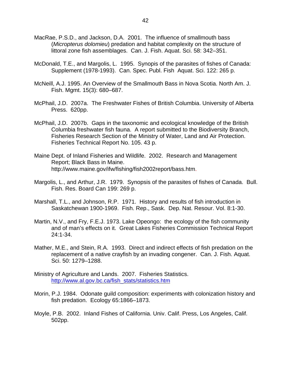- MacRae, P.S.D., and Jackson, D.A. 2001. The influence of smallmouth bass (*Micropterus dolomieu*) predation and habitat complexity on the structure of littoral zone fish assemblages. Can. J. Fish. Aquat. Sci. 58: 342–351.
- McDonald, T.E., and Margolis, L. 1995. Synopis of the parasites of fishes of Canada: Supplement (1978-1993). Can. Spec. Publ. Fish Aquat. Sci. 122: 265 p.
- McNeill, A.J. 1995. An Overview of the Smallmouth Bass in Nova Scotia. North Am. J. Fish. Mgmt. 15(3): 680–687.
- McPhail, J.D. 2007a. The Freshwater Fishes of British Columbia. University of Alberta Press. 620pp.
- McPhail, J.D. 2007b. Gaps in the taxonomic and ecological knowledge of the British Columbia freshwater fish fauna. A report submitted to the Biodiversity Branch, Fisheries Research Section of the Ministry of Water, Land and Air Protection. Fisheries Technical Report No. 105. 43 p.
- Maine Dept. of Inland Fisheries and Wildlife. 2002. Research and Management Report; Black Bass in Maine. [http://www.maine.gov/ifw/fishing/fish2002report/bass.htm.](http://www.maine.gov/ifw/fishing/fish2002report/bass.htm)
- Margolis, L., and Arthur, J.R. 1979. Synopsis of the parasites of fishes of Canada. Bull. Fish. Res. Board Can 199: 269 p.
- Marshall, T.L., and Johnson, R.P. 1971. History and results of fish introduction in Saskatchewan 1900-1969. Fish. Rep., Sask. Dep. Nat. Resour. Vol. 8:1-30.
- Martin, N.V., and Fry, F.E.J. 1973. Lake Opeongo: the ecology of the fish community and of man's effects on it. Great Lakes Fisheries Commission Technical Report 24:1-34.
- Mather, M.E., and Stein, R.A. 1993. Direct and indirect effects of fish predation on the replacement of a native crayfish by an invading congener. Can. J. Fish. Aquat. Sci. 50: 1279–1288.
- Ministry of Agriculture and Lands. 2007. Fisheries Statistics. [http://www.al.gov.bc.ca/fish\\_stats/statistics.htm](http://www.al.gov.bc.ca/fish_stats/statistics.htm)
- Morin, P.J. 1984. Odonate guild composition: experiments with colonization history and fish predation. Ecology 65:1866–1873.
- Moyle, P.B. 2002. Inland Fishes of California. Univ. Calif. Press, Los Angeles, Calif. 502pp.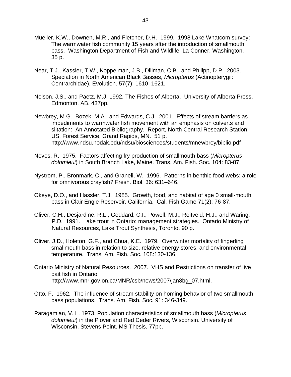- Mueller, K.W., Downen, M.R., and Fletcher, D.H. 1999. 1998 Lake Whatcom survey: The warmwater fish community 15 years after the introduction of smallmouth bass. Washington Department of Fish and Wildlife. La Conner, Washington. 35 p.
- Near, T.J., Kassler, T.W., Koppelman, J.B., Dillman, C.B., and Philipp, D.P. 2003. Speciation in North American Black Basses, *Micropterus* (Actinopterygii: Centrarchidae). Evolution. 57(7): 1610–1621.
- Nelson, J.S., and Paetz, M.J. 1992. The Fishes of Alberta. University of Alberta Press, Edmonton, AB. 437pp.
- Newbrey, M.G., Bozek, M.A., and Edwards, C.J. 2001. Effects of stream barriers as impediments to warmwater fish movement with an emphasis on culverts and siltation: An Annotated Bibliography. Report, North Central Research Station, US. Forest Service, Grand Rapids, MN. 51 p. <http://www.ndsu.nodak.edu/ndsu/biosciences/students/mnewbrey/biblio.pdf>
- Neves, R. 1975. Factors affecting fry production of smallmouth bass (*Micropterus dolomieui*) in South Branch Lake, Maine. Trans. Am. Fish. Soc. 104: 83-87.
- Nystrom, P., Bronmark, C., and Graneli, W. 1996. Patterns in benthic food webs: a role for omnivorous crayfish? Fresh. Biol. 36: 631–646.
- Okeye, D.O., and Hassler, T.J. 1985. Growth, food, and habitat of age 0 small-mouth bass in Clair Engle Reservoir, California. Cal. Fish Game 71(2): 76-87.
- Oliver, C.H., Desjardine, R.L., Goddard, C.I., Powell, M.J., Reitveld, H.J., and Waring, P.D. 1991. Lake trout in Ontario: management strategies. Ontario Ministry of Natural Resources, Lake Trout Synthesis, Toronto. 90 p.
- Oliver, J.D., Holeton, G.F., and Chua, K.E. 1979. Overwinter mortality of fingerling smallmouth bass in relation to size, relative energy stores, and environmental temperature. Trans. Am. Fish. Soc. 108:130-136.
- Ontario Ministry of Natural Resources. 2007. VHS and Restrictions on transfer of live bait fish in Ontario. [http://www.mnr.gov.on.ca/MNR/csb/news/2007/jan8bg\\_07.html.](http://www.mnr.gov.on.ca/MNR/csb/news/2007/jan8bg_07.html)
- Otto, F. 1962. The influence of stream stability on homing behavior of two smallmouth bass populations. Trans. Am. Fish. Soc. 91: 346-349.
- Paragamian, V. L. 1973. Population characteristics of smallmouth bass (*Micropterus dolomieui*) in the Plover and Red Ceder Rivers, Wisconsin. University of Wisconsin, Stevens Point. MS Thesis. 77pp.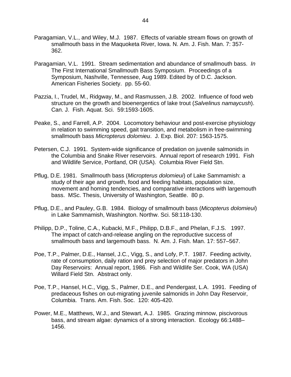- Paragamian, V.L., and Wiley, M.J. 1987. Effects of variable stream flows on growth of smallmouth bass in the Maquoketa River, Iowa. N. Am. J. Fish. Man. 7: 357- 362.
- Paragamian, V.L. 1991. Stream sedimentation and abundance of smallmouth bass. *In*  The First International Smallmouth Bass Symposium. Proceedings of a Symposium, Nashville, Tennessee, Aug 1989. Edited by of D.C. Jackson. American Fisheries Society. pp. 55-60.
- Pazzia, I., Trudel, M., Ridgway, M., and Rasmussen, J.B. 2002. Influence of food web structure on the growth and bioenergentics of lake trout (*Salvelinus namaycush*). Can. J. Fish. Aquat. Sci. 59:1593-1605.
- Peake, S., and Farrell, A.P. 2004. Locomotory behaviour and post-exercise physiology in relation to swimming speed, gait transition, and metabolism in free-swimming smallmouth bass *Micropterus dolomieu*. J. Exp. Biol. 207: 1563-1575.
- Petersen, C.J. 1991. System-wide significance of predation on juvenile salmonids in the Columbia and Snake River reservoirs. Annual report of research 1991. Fish and Wildlife Service, Portland, OR (USA). Columbia River Field Stn.
- Pflug, D.E. 1981. Smallmouth bass (*Micropterus dolomieui*) of Lake Sammamish: a study of their age and growth, food and feeding habitats, population size, movement and homing tendencies, and comparative interactions with largemouth bass. MSc. Thesis, University of Washington, Seattle. 80 p.
- Pflug, D.E., and Pauley, G.B. 1984. Biology of smallmouth bass (*Micopterus dolomieui*) in Lake Sammamish, Washington. Northw. Sci. 58:118-130.
- Philipp, D.P., Toline, C.A., Kubacki, M.F., Philipp, D.B.F., and Phelan, F.J.S. 1997. The impact of catch-and-release angling on the reproductive success of smallmouth bass and largemouth bass. N. Am. J. Fish. Man. 17: 557–567.
- Poe, T.P., Palmer, D.E., Hansel, J.C., Vigg, S., and Lofy, P.T. 1987. Feeding activity, rate of consumption, daily ration and prey selection of major predators in John Day Reservoirs: Annual report, 1986. Fish and Wildlife Ser. Cook, WA (USA) Willard Field Stn. Abstract only.
- Poe, T.P., Hansel, H.C., Vigg, S., Palmer, D.E., and Pendergast, L.A. 1991. Feeding of predaceous fishes on out-migrating juvenile salmonids in John Day Reservoir, Columbia. Trans. Am. Fish. Soc. 120: 405-420.
- Power, M.E., Matthews, W.J., and Stewart, A.J. 1985. Grazing minnow, piscivorous bass, and stream algae: dynamics of a strong interaction. Ecology 66:1488– 1456.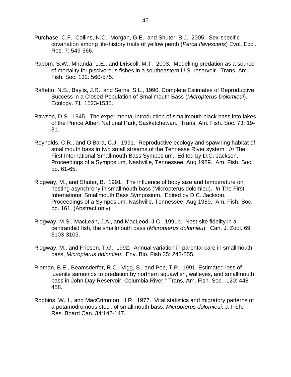- Purchase, C.F., Collins, N.C., Morgan, G.E., and Shuter, B.J. 2005. Sex-specific covariation among life-history traits of yellow perch (*Perca flavescens*) Evol. Ecol. Res. 7: 549-566.
- Raborn, S.W., Miranda, L.E., and Driscoll, M.T. 2003. Modelling predation as a source of mortality for piscivorous fishes in a southeastern U.S. reservoir. Trans. Am. Fish. Soc. 132: 560-575.
- Raffetto, N.S., Baylis, J.R., and Serns, S.L., 1990. Complete Estimates of Reproductive Success in a Closed Population of Smallmouth Bass (*Micropterus Dolomieui*). Ecology. 71: 1523-1535.
- Rawson, D.S. 1945. The experimental introduction of smallmouth black bass into lakes of the Prince Albert National Park, Saskatchewan. Trans. Am. Fish. Soc. 73: 19- 31.
- Reynolds, C.R., and O'Bara, C.J. 1991. Reproductive ecology and spawning habitat of smallmouth bass in two small streams of the Tennesse River system. *In* The First International Smallmouth Bass Symposium. Edited by D.C. Jackson. Proceedings of a Symposium, Nashville, Tennessee, Aug 1989. Am. Fish. Soc. pp. 61-65.
- Ridgway, M., and Shuter, B. 1991. The influence of body size and temperature on nesting asynchrony in smallmouth bass (Micropterus dolomieu). *In* The First International Smallmouth Bass Symposium. Edited by D.C. Jackson. Proceedings of a Symposium, Nashville, Tennessee, Aug 1989. Am. Fish. Soc. pp. 161, (Abstract only).
- Ridgway, M.S., MacLean, J.A., and MacLeod, J.C. 1991b. Nest-site fidelity in a centrarchid fish, the smallmouth bass (*Micropterus dolomieu*). Can. J. Zool. 69: 3103-3105.
- Ridgway, M., and Friesen, T.G. 1992. Annual variation in parental care in smallmouth bass, *Micropterus dolomieu*. Env. Bio. Fish 35: 243-255.
- Rieman, B.E., Beamsderfer, R.C., Vigg, S., and Poe, T.P. 1991. Estimated loss of juvenile samonids to predation by northern squawfish, walleyes, and smallmouth bass in John Day Reservoir, Columbia River." Trans. Am. Fish. Soc. 120: 448- 458.
- Robbins, W.H., and MacCrimmon, H.R. 1977. Vital statistics and migratory patterns of a potamodromous stock of smallmouth bass, *Micropterus dolomieui*. J. Fish. Res. Board Can. 34:142-147.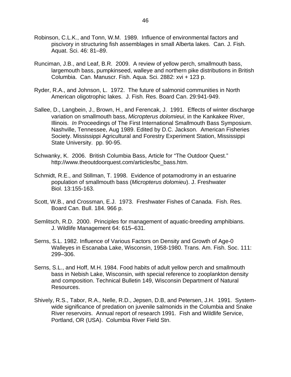- Robinson, C.L.K., and Tonn, W.M. 1989. Influence of environmental factors and piscivory in structuring fish assemblages in small Alberta lakes. Can. J. Fish. Aquat. Sci. 46: 81–89.
- Runciman, J.B., and Leaf, B.R. 2009. A review of yellow perch, smallmouth bass, largemouth bass, pumpkinseed, walleye and northern pike distributions in British Columbia. Can. Manuscr. Fish. Aqua. Sci. 2882: xvi + 123 p.
- Ryder, R.A., and Johnson, L. 1972. The future of salmonid communities in North American oligotrophic lakes. J. Fish. Res. Board Can. 29:941-949.
- Sallee, D., Langbein, J., Brown, H., and Ferencak, J. 1991. Effects of winter discharge variation on smallmouth bass, *Micropterus dolomieui*, in the Kankakee River, Illinois. *In* Proceedings of The First International Smallmouth Bass Symposium. Nashville, Tennessee, Aug 1989. Edited by D.C. Jackson. American Fisheries Society. Mississippi Agricultural and Forestry Experiment Station, Mississippi State University. pp. 90-95.
- Schwanky, K. 2006. British Columbia Bass, Article for "The Outdoor Quest." [http://www.theoutdoorquest.com/articles/bc\\_bass.htm.](http://www.theoutdoorquest.com/articles/bc_bass.htm)
- Schmidt, R.E., and Stillman, T. 1998. Evidence of potamodromy in an estuarine population of smallmouth bass (*Micropterus dolomieu*). J. Freshwater Biol. 13:155-163.
- Scott, W.B., and Crossman, E.J. 1973. Freshwater Fishes of Canada. Fish. Res. Board Can. Bull. 184. 966 p.
- Semlitsch, R.D. 2000. Principles for management of aquatic-breeding amphibians. J. Wildlife Management 64: 615–631.
- Serns, S.L. 1982. Influence of Various Factors on Density and Growth of Age-0 Walleyes in Escanaba Lake, Wisconsin, 1958-1980. Trans. Am. Fish. Soc. 111: 299–306.
- Serns, S.L., and Hoff, M.H. 1984. Food habits of adult yellow perch and smallmouth bass in Nebish Lake, Wisconsin, with special reference to zooplankton density and composition. Technical Bulletin 149, Wisconsin Department of Natural Resources.
- Shively, R.S., Tabor, R.A., Nelle, R.D., Jepsen, D.B, and Petersen, J.H. 1991. Systemwide significance of predation on juvenile salmonids in the Columbia and Snake River reservoirs. Annual report of research 1991. Fish and Wildlife Service, Portland, OR (USA). Columbia River Field Stn.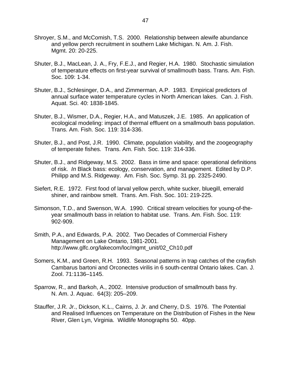- Shroyer, S.M., and McComish, T.S. 2000. Relationship between alewife abundance and yellow perch recruitment in southern Lake Michigan. N. Am. J. Fish. Mgmt. 20: 20-225.
- Shuter, B.J., MacLean, J. A., Fry, F.E.J., and Regier, H.A. 1980. Stochastic simulation of temperature effects on first-year survival of smallmouth bass. Trans. Am. Fish. Soc. 109: 1-34.
- Shuter, B.J., Schlesinger, D.A., and Zimmerman, A.P. 1983. Empirical predictors of annual surface water temperature cycles in North American lakes. Can. J. Fish. Aquat. Sci. 40: 1838-1845.
- Shuter, B.J., Wismer, D.A., Regier, H.A., and Matuszek, J.E. 1985. An application of ecological modeling: impact of thermal effluent on a smallmouth bass population. Trans. Am. Fish. Soc. 119: 314-336.
- Shuter, B.J., and Post, J.R. 1990. Climate, population viability, and the zoogeography of temperate fishes. Trans. Am. Fish. Soc. 119: 314-336.
- Shuter, B.J., and Ridgeway, M.S. 2002. Bass in time and space: operational definitions of risk. *In* Black bass: ecology, conservation, and management. Edited by D.P. Philipp and M.S. Ridgeway. Am. Fish. Soc. Symp. 31 pp. 2325-2490.
- Siefert, R.E. 1972. First food of larval yellow perch, white sucker, bluegill, emerald shiner, and rainbow smelt. Trans. Am. Fish. Soc. 101: 219-225.
- Simonson, T.D., and Swenson, W.A. 1990. Critical stream velocities for young-of-theyear smallmouth bass in relation to habitat use. Trans. Am. Fish. Soc. 119: 902-909.
- Smith, P.A., and Edwards, P.A. 2002. Two Decades of Commercial Fishery Management on Lake Ontario, 1981-2001. [http://www.glfc.org/lakecom/loc/mgmt\\_unit/02\\_Ch10.pdf](http://www.glfc.org/lakecom/loc/mgmt_unit/02_Ch10.pdf)
- Somers, K.M., and Green, R.H. 1993. Seasonal patterns in trap catches of the crayfish Cambarus bartoni and Orconectes virilis in 6 south-central Ontario lakes. Can. J. Zool. 71:1136–1145.
- Sparrow, R., and Barkoh, A., 2002. Intensive production of smallmouth bass fry. N. Am. J. Aquac. 64(3): 205–209.
- Stauffer, J.R. Jr., Dickson, K.L., Cairns, J. Jr. and Cherry, D.S. 1976. The Potential and Realised Influences on Temperature on the Distribution of Fishes in the New River, Glen Lyn, Virginia. Wildlife Monographs 50. 40pp.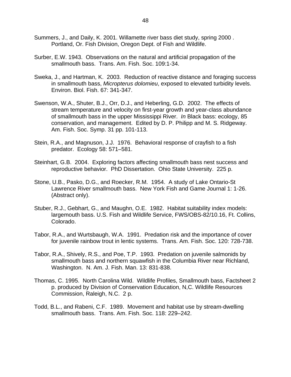- Summers, J., and Daily, K. 2001. Willamette river bass diet study, spring 2000 . Portland, Or. Fish Division, Oregon Dept. of Fish and Wildlife.
- Surber, E.W. 1943. Observations on the natural and artificial propagation of the smallmouth bass. Trans. Am. Fish. Soc. 109:1-34.
- Sweka, J., and Hartman, K. 2003. Reduction of reactive distance and foraging success in smallmouth bass, *Micropterus dolomieu*, exposed to elevated turbidity levels. Environ. Biol. Fish. 67: 341-347.
- Swenson, W.A., Shuter, B.J., Orr, D.J., and Heberling, G.D. 2002. The effects of stream temperature and velocity on first-year growth and year-class abundance of smallmouth bass in the upper Mississippi River. *In* Black bass: ecology, 85 conservation, and management. Edited by D. P. Philipp and M. S. Ridgeway. Am. Fish. Soc. Symp. 31 pp. 101-113.
- Stein, R.A., and Magnuson, J.J. 1976. Behavioral response of crayfish to a fish predator. Ecology 58: 571–581.
- Steinhart, G.B. 2004. Exploring factors affecting smallmouth bass nest success and reproductive behavior. PhD Dissertation. Ohio State University. 225 p.
- Stone, U.B., Pasko, D.G., and Roecker, R.M. 1954. A study of Lake Ontario-St Lawrence River smallmouth bass. New York Fish and Game Journal 1: 1-26. (Abstract only).
- Stuber, R.J., Gebhart, G., and Maughn, O.E. 1982. Habitat suitability index models: largemouth bass. U.S. Fish and Wildlife Service, FWS/OBS-82/10.16, Ft. Collins, Colorado.
- Tabor, R.A., and Wurtsbaugh, W.A. 1991. Predation risk and the importance of cover for juvenile rainbow trout in lentic systems. Trans. Am. Fish. Soc. 120: 728-738.
- Tabor, R.A., Shively, R.S., and Poe, T.P. 1993. Predation on juvenile salmonids by smallmouth bass and northern squawfish in the Columbia River near Richland, Washington. N. Am. J. Fish. Man. 13: 831-838.
- Thomas, C. 1995. North Carolina Wild. Wildlife Profiles, Smallmouth bass, Factsheet 2 p. produced by Division of Conservation Education, N,C. Wildlife Resources Commission, Raleigh, N.C. 2 p.
- Todd, B.L., and Rabeni, C.F. 1989. Movement and habitat use by stream-dwelling smallmouth bass. Trans. Am. Fish. Soc. 118: 229–242.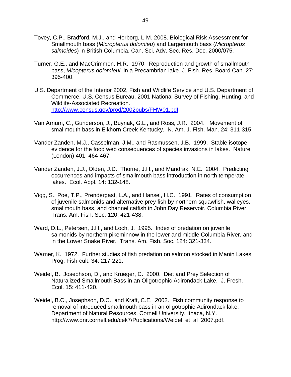- Tovey, C.P., Bradford, M.J., and Herborg, L-M. 2008. Biological Risk Assessment for Smallmouth bass (*Micropterus dolomieu*) and Largemouth bass (*Micropterus salmoides*) in British Columbia. Can. Sci. Adv. Sec. Res. Doc. 2000/075.
- Turner, G.E., and MacCrimmon, H.R. 1970. Reproduction and growth of smallmouth bass, *Micopterus dolomieui,* in a Precambrian lake. J. Fish. Res. Board Can. 27: 395-400.
- U.S. Department of the Interior 2002, Fish and Wildlife Service and U.S. Department of Commerce, U.S. Census Bureau. 2001 National Survey of Fishing, Hunting, and Wildlife-Associated Recreation. <http://www.census.gov/prod/2002pubs/FHW01.pdf>
- Van Arnum, C., Gunderson, J., Buynak, G.L., and Ross, J.R. 2004. Movement of smallmouth bass in Elkhorn Creek Kentucky. N. Am. J. Fish. Man. 24: 311-315.
- Vander Zanden, M.J., Casselman, J.M., and Rasmussen, J.B. 1999. Stable isotope evidence for the food web consequences of species invasions in lakes. Nature (London) 401: 464-467.
- Vander Zanden, J.J., Olden, J.D., Thorne, J.H., and Mandrak, N.E. 2004. Predicting occurrences and impacts of smallmouth bass introduction in north temperate lakes. Ecol. Appl. 14: 132-148.
- Vigg, S., Poe, T.P., Prendergast, L.A., and Hansel, H.C. 1991. Rates of consumption of juvenile salmonids and alternative prey fish by northern squawfish, walleyes, smallmouth bass, and channel catfish in John Day Reservoir, Columbia River. Trans. Am. Fish. Soc. 120: 421-438.
- Ward, D.L., Petersen, J.H., and Loch, J. 1995. Index of predation on juvenile salmonids by northern pikeminnow in the lower and middle Columbia River, and in the Lower Snake River. Trans. Am. Fish. Soc. 124: 321-334.
- Warner, K. 1972. Further studies of fish predation on salmon stocked in Manin Lakes. Prog. Fish-cult. 34: 217-221.
- Weidel, B., Josephson, D., and Krueger, C. 2000. Diet and Prey Selection of Naturalized Smallmouth Bass in an Oligotrophic Adirondack Lake. J. Fresh. Ecol. 15: 411-420.
- Weidel, B.C., Josephson, D.C., and Kraft, C.E. 2002. Fish community response to removal of introduced smallmouth bass in an oligotrophic Adirondack lake. Department of Natural Resources, Cornell University, Ithaca, N.Y. [http://www.dnr.cornell.edu/cek7/Publications/Weidel\\_et\\_al\\_2007.pdf.](http://www.dnr.cornell.edu/cek7/Publications/Weidel_et_al_2007.pdf)